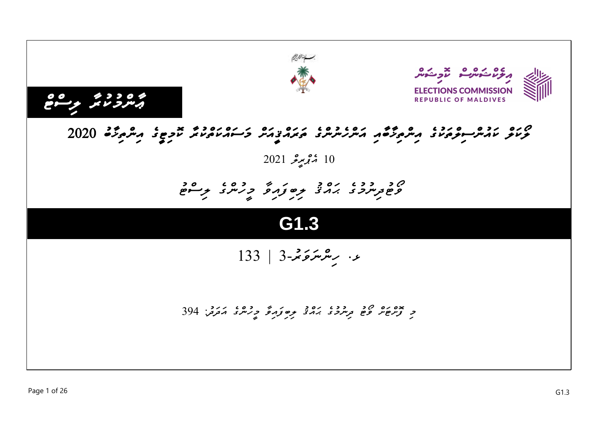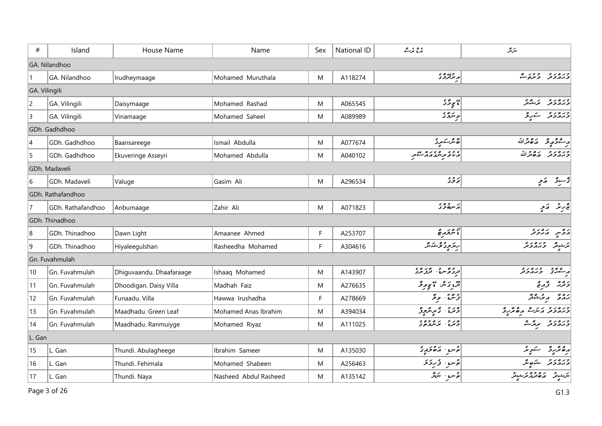| #              | Island            | House Name               | Name                  | Sex | National ID | ، ه ، ره<br>مر، مر                                   | ىئرىتر                       |
|----------------|-------------------|--------------------------|-----------------------|-----|-------------|------------------------------------------------------|------------------------------|
|                | GA. Nilandhoo     |                          |                       |     |             |                                                      |                              |
|                | GA. Nilandhoo     | Irudheymaage             | Mohamed Muruthala     | M   | A118274     | و در پر د<br>در جوتور و                              | ورەرو ووريج                  |
| GA. Vilingili  |                   |                          |                       |     |             |                                                      |                              |
| $\overline{2}$ | GA. Vilingili     | Daisymaage               | Mohamed Rashad        | M   | A065545     | پر پر دی<br>  پاسچ پر د                              | ورەر ويدەر                   |
| 3              | GA. Vilingili     | Vinamaage                | Mohamed Saheel        | M   | A089989     | و پر دی<br>و پتر <del>و</del> د                      | ورەرو سەرۇ                   |
|                | GDh. Gadhdhoo     |                          |                       |     |             |                                                      |                              |
| 4              | GDh. Gadhdhoo     | Baansareege              | Ismail Abdulla        | M   | A077674     | ۇ ئەرسە يەرى<br>مۇرسە يورى                           | أمر عوصر والله الله          |
| 5              | GDh. Gadhdhoo     | Ekuveringe Asseyri       | Mohamed Abdulla       | M   | A040102     | ، د ، م ، د ه . د .<br>د <i>ر و بر بر</i> د د . شمېر | وره رو ده دالله              |
|                | GDh. Madaveli     |                          |                       |     |             |                                                      |                              |
| 6              | GDh. Madaveli     | Valuge                   | Gasim Ali             | M   | A296534     | ر و ،<br>حرن                                         | قخ سوفر - ضرحي               |
|                | GDh. Rathafandhoo |                          |                       |     |             |                                                      |                              |
| 7              | GDh. Rathafandhoo | Anbumaage                | Zahir Ali             | M   | A071823     | بر روپر د<br>پرسرچون                                 | تجربتر الأمز                 |
|                | GDh. Thinadhoo    |                          |                       |     |             |                                                      |                              |
| 8              | GDh. Thinadhoo    | Dawn Light               | Amaanee Ahmed         | F   | A253707     | بمشرخه رقع                                           | أرقس أرور و                  |
| 9              | GDh. Thinadhoo    | Hiyaleegulshan           | Rasheedha Mohamed     | F.  | A304616     | رېزېږ د شکر تر                                       | كرجوش وبره دو                |
|                | Gn. Fuvahmulah    |                          |                       |     |             |                                                      |                              |
| $ 10\rangle$   | Gn. Fuvahmulah    | Dhiguvaandu. Dhaafaraage | Ishaaq Mohamed        | M   | A143907     | و ه سر د به بر بره به<br>تری خوش ۱۰ قروموی           | و در در در در در د           |
| 11             | Gn. Fuvahmulah    | Dhoodigan. Daisy Villa   | Madhah Faiz           | M   | A276635     | تروتر من مي موقر                                     | ديوه ومرج                    |
| 12             | Gn. Fuvahmulah    | Funaadu. Villa           | Hawwa Irushadha       | F   | A278669     | زىنى: موقر                                           | رە بەر ئەتەر<br>بەرە بەر ئەت |
| $ 13\rangle$   | Gn. Fuvahmulah    | Maadhadu. Green Leaf     | Mohamed Anas Ibrahim  | M   | A394034     | ورو.<br>دىرە كومېر شرېر د                            | כנסגב גגם גם ציב             |
| 14             | Gn. Fuvahmulah    | Maadhadu. Ranmuiyge      | Mohamed Riyaz         | M   | A111025     | ور و ده وه وه<br>د ترو نير سرچ وي                    | ورەرو برگزے                  |
| L. Gan         |                   |                          |                       |     |             |                                                      |                              |
| 15             | L. Gan            | Thundi. Abulagheege      | Ibrahim Sameer        | M   | A135030     | چسع مقصور م                                          |                              |
| 16             | L. Gan            | Thundi. Fehimala         | Mohamed Shabeen       | M   | A256463     | وسعى وكريحة                                          |                              |
| 17             | L. Gan            | Thundi. Naya             | Nasheed Abdul Rasheed | M   | A135142     | جسع سَدَّ                                            |                              |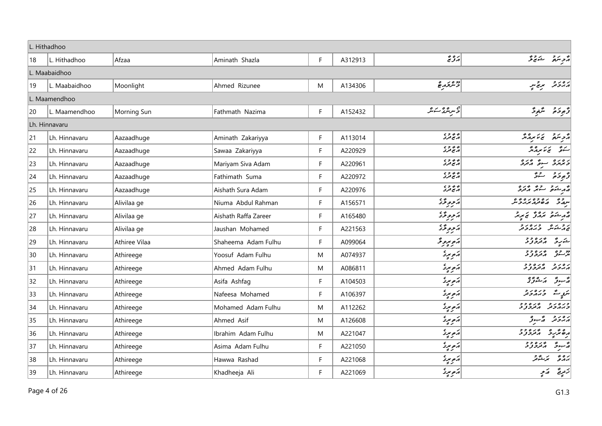|    | L. Hithadhoo  |               |                      |             |         |                             |                                                |
|----|---------------|---------------|----------------------|-------------|---------|-----------------------------|------------------------------------------------|
| 18 | L. Hithadhoo  | Afzaa         | Aminath Shazla       | F           | A312913 | برەپچ                       | د گرد کرد کا در دیگر                           |
|    | L. Maabaidhoo |               |                      |             |         |                             |                                                |
| 19 | L. Maabaidhoo | Moonlight     | Ahmed Rizunee        | M           | A134306 | ومرتزرة                     | بر 2 د ج<br>مربر <del>5</del> فر<br>ىمرىتى مېر |
|    | L. Maamendhoo |               |                      |             |         |                             |                                                |
| 20 | L. Maamendhoo | Morning Sun   | Fathmath Nazima      | F           | A152432 | ئۇ بىر بىرى كەبىر<br>  خ    | ترجوخا متبوح                                   |
|    | Lh. Hinnavaru |               |                      |             |         |                             |                                                |
| 21 | Lh. Hinnavaru | Aazaadhuge    | Aminath Zakariyya    | F           | A113014 | ږ د د د<br>پر پم تور        | הבתום ביותרת                                   |
| 22 | Lh. Hinnavaru | Aazaadhuge    | Sawaa Zakariyya      | F           | A220929 | پر پر د بر<br>در سخ فر پر   | سكوش تماسم والمجمد                             |
| 23 | Lh. Hinnavaru | Aazaadhuge    | Mariyam Siva Adam    | F           | A220961 | ږ د د د<br>د ج تر د         | رەرە سەھ بەدە                                  |
| 24 | Lh. Hinnavaru | Aazaadhuge    | Fathimath Suma       | F           | A220972 | پر پر د پر<br>  پر سخ تر پر | تۇھ جۇ ئىسى                                    |
| 25 | Lh. Hinnavaru | Aazaadhuge    | Aishath Sura Adam    | F           | A220976 | ږ د د د<br>پر پح توری       | ه در در در دره<br>مارشوی سویژ ارتزو            |
| 26 | Lh. Hinnavaru | Alivilaa ge   | Niuma Abdul Rahman   | F           | A156571 | أروء وً و                   | - 22010701 22                                  |
| 27 | Lh. Hinnavaru | Alivilaa ge   | Aishath Raffa Zareer | F           | A165480 | پزیونژی                     | و المراسم و المرور المحمد المريضي              |
| 28 | Lh. Hinnavaru | Alivilaa ge   | Jaushan Mohamed      | F           | A221563 | ر<br>پروونژی                | و دره دره در در                                |
| 29 | Lh. Hinnavaru | Athiree Vilaa | Shaheema Adam Fulhu  | F           | A099064 | ړ <sub>ۍ موجو</sub> موً     | شریرق پژویونو                                  |
| 30 | Lh. Hinnavaru | Athireege     | Yoosuf Adam Fulhu    | M           | A074937 | ر<br>مړيو پېړۍ              | دد وه په دره و د<br>افرانسونې د کرد تر تر      |
| 31 | Lh. Hinnavaru | Athireege     | Ahmed Adam Fulhu     | M           | A086811 | <br>  در هو مورځه           | ره رو مرده وو<br>مرکونس مرکورنونو              |
| 32 | Lh. Hinnavaru | Athireege     | Asifa Ashfaq         | F           | A104503 | ر<br>د حومور                | پیسوژگ اړ شوژنو                                |
| 33 | Lh. Hinnavaru | Athireege     | Nafeesa Mohamed      | F           | A106397 | <br>  مەھ بىرى              | پرویز دیده در د                                |
| 34 | Lh. Hinnavaru | Athireege     | Mohamed Adam Fulhu   | M           | A112262 | بر موسر مح<br>مرموسر مح     | ورەرو پەرەدو<br>جەمەدىر مەنزۈيۈ                |
| 35 | Lh. Hinnavaru | Athireege     | Ahmed Asif           | M           | A126608 | برموسره<br>مرموسره          | أرەر ئەسۇ                                      |
| 36 | Lh. Hinnavaru | Athireege     | Ibrahim Adam Fulhu   | M           | A221047 | بر موسر مي<br>مرسمو         | دەنزىرو ئەزەرە                                 |
| 37 | Lh. Hinnavaru | Athireege     | Asima Adam Fulhu     | F           | A221050 | ر<br>د حومور                | ه سوځ ه تروونو                                 |
| 38 | Lh. Hinnavaru | Athireege     | Hawwa Rashad         | $\mathsf F$ | A221068 | بر موسور<br>مرسمور          | برەپ برخى                                      |
| 39 | Lh. Hinnavaru | Athireege     | Khadheeja Ali        | F           | A221069 | ر<br>مەمومور                | تزويعٌ = صَعٍ                                  |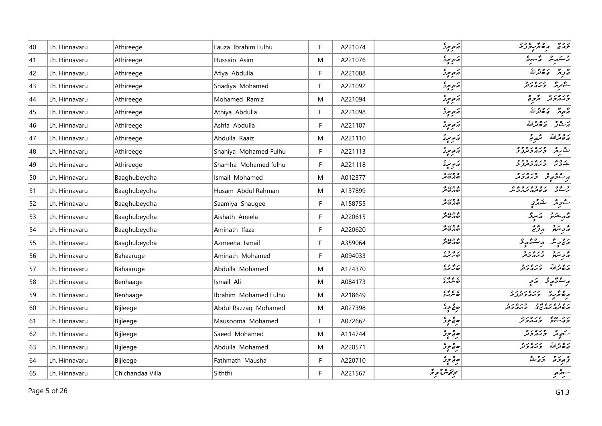| 40 | Lh. Hinnavaru | Athireege        | Lauza Ibrahim Fulhu   | F  | A221074 | ر<br>مرموسور                 | $330 - 20 - 215$                                       |
|----|---------------|------------------|-----------------------|----|---------|------------------------------|--------------------------------------------------------|
| 41 | Lh. Hinnavaru | Athireege        | Hussain Asim          | M  | A221076 | ړ<br>مرموسو                  |                                                        |
| 42 | Lh. Hinnavaru | Athireege        | Afiya Abdulla         | F. | A221088 | ر<br>د حومور                 | أُمَّرِيمُ مَدَّدَاللَّهُ                              |
| 43 | Lh. Hinnavaru | Athireege        | Shadiya Mohamed       | F. | A221092 | ړ<br>مرموسو                  | شوره وره دو                                            |
| 44 | Lh. Hinnavaru | Athireege        | Mohamed Ramiz         | M  | A221094 | ر<br>د حومور                 | ورور و و و                                             |
| 45 | Lh. Hinnavaru | Athireege        | Athiya Abdulla        | F  | A221098 | ړ<br>مرموسو                  | قرمرتز الاهترالله                                      |
| 46 | Lh. Hinnavaru | Athireege        | Ashfa Abdulla         | F  | A221107 | ر<br>د حومور                 | ىر شىقۇ<br>برە قراللە                                  |
| 47 | Lh. Hinnavaru | Athireege        | Abdulla Raaiz         | M  | A221110 | ر<br>د ځو مور                | ەھىراللە<br>پر پر م<br>مرد م                           |
| 48 | Lh. Hinnavaru | Athireege        | Shahiya Mohamed Fulhu | F  | A221113 | ر<br>د حوسوري                | وره در وده<br>شگریز وبروترون                           |
| 49 | Lh. Hinnavaru | Athireege        | Shamha Mohamed fulhu  | F  | A221118 | ر<br>د حوسور                 | ر و و در و د و د و<br>  شور په و بر بر و و و           |
| 50 | Lh. Hinnavaru | Baaghubeydha     | Ismail Mohamed        | M  | A012377 | ه ور.<br>خەز خەنگر           | بر عرٌ په در در د                                      |
| 51 | Lh. Hinnavaru | Baaghubeydha     | Husam Abdul Rahman    | M  | A137899 | پر وي پر<br>حاد حا تر        | ره وه ره ده.<br>پره تربر <i>برب</i> ر څس<br>ر مەھ<br>ر |
| 52 | Lh. Hinnavaru | Baaghubeydha     | Saamiya Shaugee       | F  | A158755 | ه ور، د.<br>خهره تر          | ستمريز<br>مشكورتمج                                     |
| 53 | Lh. Hinnavaru | Baaghubeydha     | Aishath Aneela        | F  | A220615 | ه وره د.<br>خ د ځ تر         | ۇرىشكۇ مەسر                                            |
| 54 | Lh. Hinnavaru | Baaghubeydha     | Aminath Ifaza         | F  | A220620 | ه ور.<br>خەز خەنگر           | ە قەتى<br>أرمز                                         |
| 55 | Lh. Hinnavaru | Baaghubeydha     | Azmeena Ismail        | F. | A359064 | ه ور، د<br>خهره تر           | ړی <sub>وچ</sub> س رمشوړی                              |
| 56 | Lh. Hinnavaru | Bahaaruge        | Aminath Mohamed       | F  | A094033 | ر بر و ،<br>ن <i>ن</i> تر د  | و ره ر د<br>تر <i>پر</i> ونر<br>ړ ته سره               |
| 57 | Lh. Hinnavaru | Bahaaruge        | Abdulla Mohamed       | M  | A124370 | ر و د د<br>ن <i>ن نر</i> و د | ەھىراللە<br>و ره ر و<br><i>و پر</i> و تر               |
| 58 | Lh. Hinnavaru | Benhaage         | Ismail Ali            | M  | A084173 |                              | برحوثيو لمي                                            |
| 59 | Lh. Hinnavaru | Benhaage         | Ibrahim Mohamed Fulhu | M  | A218649 |                              | رە ئۈرۈ<br>و ر ه ر و و و<br>تر پر تر تر تر تر          |
| 60 | Lh. Hinnavaru | Bijleege         | Abdul Razzaq Mohamed  | M  | A027398 | ه و هم و ء<br>مرگه پر        | נסכסנסג' כנסנכ<br>גם <i>נגד</i> אצי כמגבת              |
| 61 | Lh. Hinnavaru | Bijleege         | Mausooma Mohamed      | F  | A072662 | ه و هم و د<br>موقع و د       | ر و دوءِ<br>وه سوو<br>و ره ر د<br><i>د ب</i> رگرفر     |
| 62 | Lh. Hinnavaru | Bijleege         | Saeed Mohamed         | M  | A114744 | ه و هم و د<br>مرگه د         | شهره در ۲۵ در د                                        |
| 63 | Lh. Hinnavaru | Bijleege         | Abdulla Mohamed       | M  | A220571 | ه و و ء<br>حوفي د            | ەھىراللە<br>و ره ر و<br><i>و پر</i> و تر               |
| 64 | Lh. Hinnavaru | Bijleege         | Fathmath Mausha       | F  | A220710 | <br> حوقے محرِ تح            | و مر د<br>ترجو حم<br>ر حر پر شگ                        |
| 65 | Lh. Hinnavaru | Chichandaa Villa | Siththi               | F  | A221567 | ىمۇ ئىرىم ئىم ئىر            | سورمو                                                  |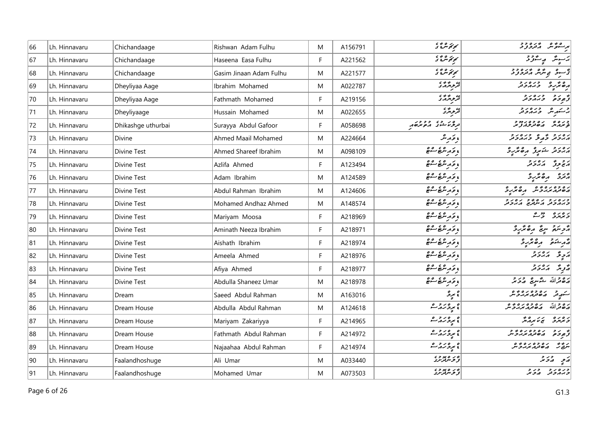| 66 | Lh. Hinnavaru | Chichandaage       | Rishwan Adam Fulhu      | M         | A156791 | ىمەكىرىشى ئ                                                                                                                                                                                            | برره په په دره و د                                       |
|----|---------------|--------------------|-------------------------|-----------|---------|--------------------------------------------------------------------------------------------------------------------------------------------------------------------------------------------------------|----------------------------------------------------------|
| 67 | Lh. Hinnavaru | Chichandaage       | Haseena Easa Fulhu      | F         | A221562 | ىم ئىر شەم ئ                                                                                                                                                                                           | پرسونتر پرسوری                                           |
| 68 | Lh. Hinnavaru | Chichandaage       | Gasim Jinaan Adam Fulhu | M         | A221577 | ى ئەرەپ ي                                                                                                                                                                                              | و ده د مره ورود.<br>توسیع مح                             |
| 69 | Lh. Hinnavaru | Dheyliyaa Aage     | Ibrahim Mohamed         | M         | A022787 | پی په په په<br>  فرم پر پر <sub>ک</sub>                                                                                                                                                                | תפתוכ בגתכת                                              |
| 70 | Lh. Hinnavaru | Dheyliyaa Aage     | Fathmath Mohamed        | F         | A219156 | ں پہ دی<br>ترج پڑ پر د                                                                                                                                                                                 | و ده دره دره                                             |
| 71 | Lh. Hinnavaru | Dheyliyaage        | Hussain Mohamed         | M         | A022655 | ں<br>ترم پر د                                                                                                                                                                                          | ير مسكور ورود و                                          |
| 72 | Lh. Hinnavaru | Dhikashge uthurbai | Surayya Abdul Gafoor    | F         | A058698 | ور ده د د د در در در در کار بالا                                                                                                                                                                       | و ره ده ده وه ردد و<br>څخه د هر مر د مر د کار            |
| 73 | Lh. Hinnavaru | Divine             | Ahmed Maail Mohamed     | M         | A224664 | ، ئەمرىش                                                                                                                                                                                               | גפנג כבש כגם כב                                          |
| 74 | Lh. Hinnavaru | <b>Divine Test</b> | Ahmed Shareef Ibrahim   | ${\sf M}$ | A098109 | و <i>ق</i> رمر شرکا دیگرافتار کے من                                                                                                                                                                    | رەرد شهرو رەمزرو                                         |
| 75 | Lh. Hinnavaru | <b>Divine Test</b> | Azlifa Ahmed            | F         | A123494 | ا د عرم شر <u>غ م</u>                                                                                                                                                                                  | أرج ووٌ درورو                                            |
| 76 | Lh. Hinnavaru | <b>Divine Test</b> | Adam Ibrahim            | M         | A124589 |                                                                                                                                                                                                        | وره مصرير                                                |
| 77 | Lh. Hinnavaru | <b>Divine Test</b> | Abdul Rahman Ibrahim    | M         | A124606 | $\overset{\circ}{\mathcal{E}}\overset{\circ}{\mathcal{E}}\overset{\circ}{\mathcal{E}}\overset{\circ}{\mathcal{E}}\overset{\circ}{\mathcal{E}}\overset{\circ}{\mathcal{E}}\overset{\circ}{\mathcal{E}}$ | נסכסנסיפי תסתניכ                                         |
| 78 | Lh. Hinnavaru | <b>Divine Test</b> | Mohamed Andhaz Ahmed    | M         | A148574 | و <i>ع</i> ُ مر شريع ڪي                                                                                                                                                                                | כנסנכ נספכ נסנכ<br>כגהכת הייתה הגבת                      |
| 79 | Lh. Hinnavaru | <b>Divine Test</b> | Mariyam Moosa           | F         | A218969 | و عَرم سُرچَ ہے ج                                                                                                                                                                                      | د ه ده در م                                              |
| 80 | Lh. Hinnavaru | <b>Divine Test</b> | Aminath Neeza Ibrahim   | F         | A218971 | و <i>ع</i> ُ مر شريع ڪي                                                                                                                                                                                | أأدبتم ببغ رەئزر                                         |
| 81 | Lh. Hinnavaru | <b>Divine Test</b> | Aishath Ibrahim         | F         | A218974 | و عَرَمٍ سُرْءَ سُوءٍ                                                                                                                                                                                  |                                                          |
| 82 | Lh. Hinnavaru | <b>Divine Test</b> | Ameela Ahmed            | F         | A218976 | و <i>جو کر سرچ دے</i>                                                                                                                                                                                  | پر په پر پر در                                           |
| 83 | Lh. Hinnavaru | <b>Divine Test</b> | Afiya Ahmed             | F         | A218977 | و <i>ک</i> ر مرغ گھ                                                                                                                                                                                    | ړو پره ده                                                |
| 84 | Lh. Hinnavaru | <b>Divine Test</b> | Abdulla Shaneez Umar    | M         | A218978 | و <i>ع</i> ُرم شريع ڪيمھ                                                                                                                                                                               | رە ئەللە ھەمرىج رەز ئە                                   |
| 85 | Lh. Hinnavaru | Dream              | Saeed Abdul Rahman      | M         | A163016 | ه پرچ<br>پاسچ                                                                                                                                                                                          | ره وه ره ده.<br>پره تربر تر س<br>سکه پور                 |
| 86 | Lh. Hinnavaru | Dream House        | Abdulla Abdul Rahman    | M         | A124618 | ه پر <sub>خر</sub> پر م                                                                                                                                                                                | ر ه و ه ر ه د ه<br>پره تر پر پر تر س<br>ەھىراللە         |
| 87 | Lh. Hinnavaru | Dream House        | Mariyam Zakariyya       | F         | A214965 | ه پر <sub>د</sub> ر در م                                                                                                                                                                               | גפגם גדודות                                              |
| 88 | Lh. Hinnavaru | Dream House        | Fathmath Abdul Rahman   | F         | A214972 | ه پر <sub>خر</sub> پر م                                                                                                                                                                                | ر ه د ه ر ه د و<br>پره تربر <i>بربر څ</i> س<br>و څې د ځه |
| 89 | Lh. Hinnavaru | Dream House        | Najaahaa Abdul Rahman   | F         | A214974 | ە بىر <i>ە ئەج</i> رم                                                                                                                                                                                  | ر ه د ه ر ه د ه<br>پره تربر <i>تر</i> ر تر س<br>ىر پەيج  |
| 90 | Lh. Hinnavaru | Faalandhoshuge     | Ali Umar                | M         | A033440 | ء ر ەيد د ،<br>توخ سرترىرى                                                                                                                                                                             | أەير اور د                                               |
| 91 | Lh. Hinnavaru | Faalandhoshuge     | Mohamed Umar            | ${\sf M}$ | A073503 | ء ر ەير د ،<br>تۇ ئوس تىرىرى                                                                                                                                                                           | כנסני בני                                                |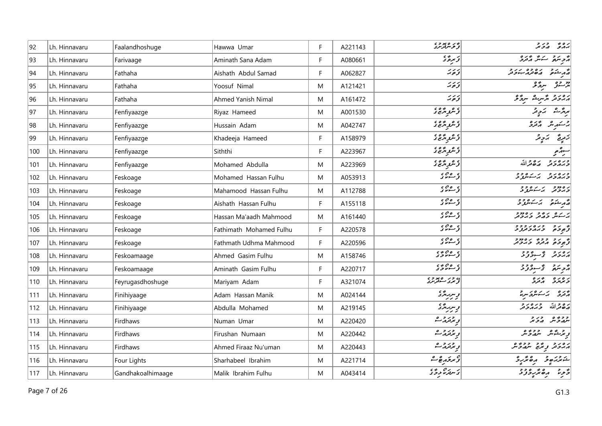| 92  | Lh. Hinnavaru | Faalandhoshuge    | Hawwa Umar                | F         | A221143 | در ۱۵ دو د<br>  تو تو تو تور                              | ره ورو                                        |
|-----|---------------|-------------------|---------------------------|-----------|---------|-----------------------------------------------------------|-----------------------------------------------|
| 93  | Lh. Hinnavaru | Farivaage         | Aminath Sana Adam         | F         | A080661 | ر<br>توموٹو ت                                             | م کے سر کا مقرر مقرر م                        |
| 94  | Lh. Hinnavaru | Fathaha           | Aishath Abdul Samad       | F         | A062827 | ترەر                                                      | د در ده ده در در د                            |
| 95  | Lh. Hinnavaru | Fathaha           | Yoosuf Nimal              | M         | A121421 | ترەر                                                      | در دو سرگر د                                  |
| 96  | Lh. Hinnavaru | Fathaha           | <b>Ahmed Yanish Nimal</b> | M         | A161472 | زەنز                                                      | גם גד האת המושב ותביב                         |
| 97  | Lh. Hinnavaru | Fenfiyaazge       | Riyaz Hameed              | ${\sf M}$ | A001530 | ژیمو پژیځ د                                               | <br>  برېژمنه   بر <sub>و</sub> تر            |
| 98  | Lh. Hinnavaru | Fenfiyaazge       | Hussain Adam              | ${\sf M}$ | A042747 | ئۇ شرىر ش <sub>ى</sub> ج ئ                                | جر سکھر شہر محمد جات                          |
| 99  | Lh. Hinnavaru | Fenfiyaazge       | Khadeeja Hameed           | F         | A158979 | ، معروم ،<br>نومبر                                        | نزمرچ بر <sub>و</sub> چر<br>مربع بروچر        |
| 100 | Lh. Hinnavaru | Fenfiyaazge       | Siththi                   | F         | A223967 | ئۇ شرى <sub>ق</sub> تەرى                                  |                                               |
| 101 | Lh. Hinnavaru | Fenfiyaazge       | Mohamed Abdulla           | ${\sf M}$ | A223969 | ئۇ شرىر ش <sup>ى</sup> رى<br>  ئۇ شرىر ش <sup>ىرى</sup> ئ | وره رو رووالله                                |
| 102 | Lh. Hinnavaru | Feskoage          | Mohamed Hassan Fulhu      | ${\sf M}$ | A053913 | ې دەم ،                                                   | ورەرو بەسەرور                                 |
| 103 | Lh. Hinnavaru | Feskoage          | Mahamood Hassan Fulhu     | M         | A112788 | ې ده پېړۍ<br>نو                                           | رەددە بەسكەردە                                |
| 104 | Lh. Hinnavaru | Feskoage          | Aishath Hassan Fulhu      | F         | A155118 | ومشاء                                                     | وگهر شوه و بر کرد و در                        |
| 105 | Lh. Hinnavaru | Feskoage          | Hassan Ma'aadh Mahmood    | ${\sf M}$ | A161440 | ې ده <sup>م</sup> ړي                                      | ر ده د و د دود و<br>رساس وړېر وبروبر          |
| 106 | Lh. Hinnavaru | Feskoage          | Fathimath Mohamed Fulhu   | F         | A220578 | ې دەم ،                                                   | و رو وره رووو<br>ده <i>و سمر حسول لا</i>      |
| 107 | Lh. Hinnavaru | Feskoage          | Fathmath Udhma Mahmood    | F         | A220596 | ې دەم ،                                                   | و د د د ده د د د د د<br>گروه د مرکز د برونر   |
| 108 | Lh. Hinnavaru | Feskoamaage       | Ahmed Gasim Fulhu         | ${\sf M}$ | A158746 | ې وه ۶ پې<br>نو سرمانو <sub>ک</sub>                       | رەرە ئۇسورى                                   |
| 109 | Lh. Hinnavaru | Feskoamaage       | Aminath Gasim Fulhu       | F         | A220717 | ې وه پوځ<br>نو سرونو                                      | أتربتهم تخسع ووو                              |
| 110 | Lh. Hinnavaru | Feyrugasdhoshuge  | Mariyam Adam              | F         | A321074 | پے حرمر صریح و ی<br>  تو سرمر سکومر پر ی                  | ر ہ رہ معردہ<br>ح <i>مد</i> رو م <i>د</i> ترو |
| 111 | Lh. Hinnavaru | Finihiyaage       | Adam Hassan Manik         | ${\sf M}$ | A024144 | و سربر پژی<br>زیر بر                                      | ەرە ئەسەردىرە                                 |
| 112 | Lh. Hinnavaru | Finihiyaage       | Abdulla Mohamed           | M         | A219145 | او مدر پروژه<br><u>گرم</u>                                | رە داللە دىرە دو                              |
| 113 | Lh. Hinnavaru | Firdhaws          | Numan Umar                | ${\sf M}$ | A220420 | و بر تر پر م                                              | 2,000 פגב<br>יינ <i>גב</i> ית הכית            |
| 114 | Lh. Hinnavaru | <b>Firdhaws</b>   | Firushan Numaan           | M         | A220442 | پر ټر ټر ژ گ                                              | ر جمشگر میروگر                                |
| 115 | Lh. Hinnavaru | Firdhaws          | Ahmed Firaaz Nu'uman      | ${\sf M}$ | A220443 | و بر تر پر شه                                             | رورد وبزلج تردومو                             |
| 116 | Lh. Hinnavaru | Four Lights       | Sharhabeel Ibrahim        | M         | A221714 | <br>  تر <sub>مرکزمر</sub> غ ث                            | خنزيه وهنرو                                   |
| 117 | Lh. Hinnavaru | Gandhakoalhimaage | Malik Ibrahim Fulhu       | ${\sf M}$ | A043414 | <br>  ئەستىرىئا ئىرىگە ئ                                  | ومع مەھەر دور                                 |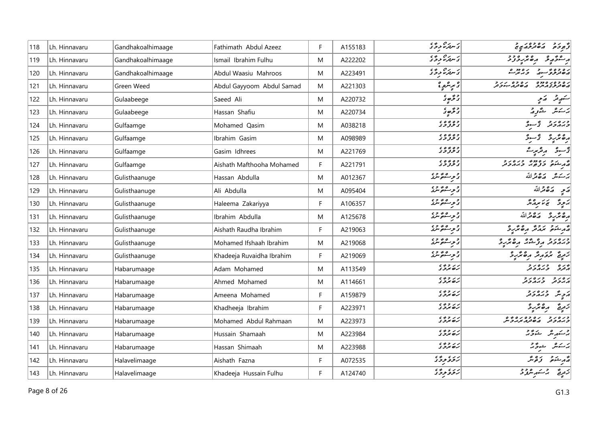| 118 | Lh. Hinnavaru | Gandhakoalhimaage | Fathimath Abdul Azeez     | F         | A155183 | <br>  ئەستىرىئا ئورمى                                     |                                                                                 |
|-----|---------------|-------------------|---------------------------|-----------|---------|-----------------------------------------------------------|---------------------------------------------------------------------------------|
| 119 | Lh. Hinnavaru | Gandhakoalhimaage | Ismail Ibrahim Fulhu      | ${\sf M}$ | A222202 | ر سرچ دي.<br>د سرټرمانونو د                               | و عرصو وهندور                                                                   |
| 120 | Lh. Hinnavaru | Gandhakoalhimaaqe | Abdul Waasiu Mahroos      | ${\sf M}$ | A223491 | <br>  ئەستىرىئا ئىرىگە ئ                                  | ره وه پر در ده دو ه<br>پره تروي سوړ کو بر بر سو                                 |
| 121 | Lh. Hinnavaru | Green Weed        | Abdul Gayyoom Abdul Samad | M         | A221303 | ە بېرىترى<br>ئ                                            | ر ۵ و ۵ مر ر و<br>پرې ترپر سون تر<br>ر ۵ ۶ و ۵ د ۵ وه<br>۱ هامگرمو تو ار اثر تر |
| 122 | Lh. Hinnavaru | Gulaabeege        | Saeed Ali                 | M         | A220732 | د و په په<br>د تره پ                                      | ڪيپٽر گھڻي                                                                      |
| 123 | Lh. Hinnavaru | Gulaabeege        | Hassan Shafiu             | M         | A220734 | د و ه<br>د ژه د                                           | ىز سەش سەھمىي ئە                                                                |
| 124 | Lh. Hinnavaru | Gulfaamge         | Mohamed Qasim             | M         | A038218 | د ه و ه ه ،<br>د نرو د د                                  | ور ەر د<br>ترگەترىتر                                                            |
| 125 | Lh. Hinnavaru | Gulfaamge         | Ibrahim Gasim             | M         | A098989 | وه پ <sup>ر</sup> ه پ<br><sub>م</sub> حرق تر <sub>ک</sub> | رە ئۆر ئۆسرە                                                                    |
| 126 | Lh. Hinnavaru | Gulfaamge         | Gasim Idhrees             | ${\sf M}$ | A221769 | د ه و ه ه ،<br>د ترتر تر                                  | وسيون مورد سيات<br>توسيون مورد سيات                                             |
| 127 | Lh. Hinnavaru | Gulfaamge         | Aishath Mafthooha Mohamed | F         | A221791 | د ه و ه ه ،<br>د نرو د د                                  | ه در د ده دود وره د د<br>مهرشوی تروید تریه د                                    |
| 128 | Lh. Hinnavaru | Gulisthaanuge     | Hassan Abdulla            | M         | A012367 | و مره و و ،<br>د <del>و</del> ر حوم سرو                   | ترسك وكاله الله                                                                 |
| 129 | Lh. Hinnavaru | Gulisthaanuge     | Ali Abdulla               | M         | A095404 | د په روځ د د چ<br>  د په سوه مرد                          | أتمعي مكافقه                                                                    |
| 130 | Lh. Hinnavaru | Gulisthaanuge     | Haleema Zakariyya         | F         | A106357 | د په د هم پورۍ<br>  د پېړۍ هم پېړۍ                        | בְבָבٌ הֹצְבְת                                                                  |
| 131 | Lh. Hinnavaru | Gulisthaanuge     | Ibrahim Abdulla           | M         | A125678 | د و ره و و د و د                                          | أرە ئرىرو مەھىراللە                                                             |
| 132 | Lh. Hinnavaru | Gulisthaanuge     | Aishath Raudha Ibrahim    | F         | A219063 | د په ده ورو<br>د پوسه په مرد                              | مەر شىم ئىمەتر مەھترىپ                                                          |
| 133 | Lh. Hinnavaru | Gulisthaanuge     | Mohamed Ifshaah Ibrahim   | M         | A219068 | د په ده ورو<br>د پوسه په مرد                              | ورەرو روشر رەپرى                                                                |
| 134 | Lh. Hinnavaru | Gulisthaanuge     | Khadeeja Ruvaidha Ibrahim | F         | A219069 | دې مه شوی                                                 | ترمرة برورش رەشرو                                                               |
| 135 | Lh. Hinnavaru | Habarumaage       | Adam Mohamed              | M         | A113549 | ر ر د » ،<br>ره برو د                                     | برده وره رو<br><i>م</i> ګر <i>و</i> وبرمرونر                                    |
| 136 | Lh. Hinnavaru | Habarumaage       | Ahmed Mohamed             | M         | A114661 | ر ر د و و و<br>رک <i>ه بر</i> و د                         | ر ס ג פ ג ס ג כ<br>ג ג ב ג ג ג ב ג                                              |
| 137 | Lh. Hinnavaru | Habarumaage       | Ameena Mohamed            | F         | A159879 | ر ر د » ،<br>ره برو د                                     | و ره ر د<br>تر پر ژمر<br>ړې پر                                                  |
| 138 | Lh. Hinnavaru | Habarumaage       | Khadheeja Ibrahim         | F         | A223971 | ر ر و » ،<br>ره برو د                                     | زَىرِيعٌ مِنْ مُرْرِدْ                                                          |
| 139 | Lh. Hinnavaru | Habarumaage       | Mohamed Abdul Rahmaan     | ${\sf M}$ | A223973 | ر ر د ه ،<br>ره برو د                                     | ر ه وه ر ه د ه<br>پره تربر تر بر<br>و ر ه ر د<br>و پر پر تر                     |
| 140 | Lh. Hinnavaru | Habarumaage       | Hussain Shamaah           | ${\sf M}$ | A223984 | ر ر د د ،<br>ره برو د                                     | ير شەر شەھ بەر ئە                                                               |
| 141 | Lh. Hinnavaru | Habarumaage       | Hassan Shimaah            | ${\sf M}$ | A223988 | ر ر د ه ،<br>ره برو د                                     | ير سىرى ھەدىسى                                                                  |
| 142 | Lh. Hinnavaru | Halavelimaage     | Aishath Fazna             | F         | A072535 | ر ر ،                                                     | مەرىشىمە ئەۋىتر                                                                 |
| 143 | Lh. Hinnavaru | Halavelimaage     | Khadeeja Hussain Fulhu    | F         | A124740 | ر ئەۋىردى<br>ئىقرىرى                                      | ترىيەنچە سەر سىملەر ئە                                                          |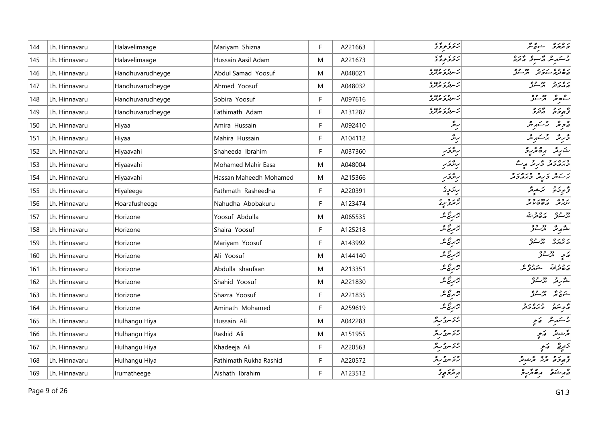| 144 | Lh. Hinnavaru | Halavelimaage    | Mariyam Shizna         | F. | A221663 | ر ري په دي.<br>-              | رەرە شىرىگە                                                          |
|-----|---------------|------------------|------------------------|----|---------|-------------------------------|----------------------------------------------------------------------|
| 145 | Lh. Hinnavaru | Halavelimaage    | Hussain Aasil Adam     | M  | A221673 | ژ ئره بودند                   | ر<br>پرستهر شر پر شریحه ارتزی                                        |
| 146 | Lh. Hinnavaru | Handhuvarudheyge | Abdul Samad Yoosuf     | Μ  | A048021 | ر سرور وړ، ،<br>رسربرو بربری  | ره وه در د دو وه<br>پرېفربر ښوتر در سوتړ                             |
| 147 | Lh. Hinnavaru | Handhuvarudheyge | Ahmed Yoosuf           | M  | A048032 | ر سرور وړ، ،<br>رسربرو بربری  | גם גד בקי בק<br>הגב עת יית                                           |
| 148 | Lh. Hinnavaru | Handhuvarudheyge | Sobira Yoosuf          | F  | A097616 | ر<br>رکس فرح موفوی            | ېژىستۇ<br>بڈھ پڑ                                                     |
| 149 | Lh. Hinnavaru | Handhuvarudheyge | Fathimath Adam         | F. | A131287 | ر<br>رکسوبرو مرتزی            | توجدة مجمده                                                          |
| 150 | Lh. Hinnavaru | Hiyaa            | Amira Hussain          | F  | A092410 | رپڙ                           | أقمرش فرسكرهما                                                       |
| 151 | Lh. Hinnavaru | Hiyaa            | Mahira Hussain         | F. | A104112 | رپڙ                           | ۇرىگە جەسكەپلىر                                                      |
| 152 | Lh. Hinnavaru | Hiyaavahi        | Shaheeda Ibrahim       | F. | A037360 | ىرەژچە بە                     | خورش مەھىرىد                                                         |
| 153 | Lh. Hinnavaru | Hiyaavahi        | Mohamed Mahir Easa     | M  | A048004 | رېژوَرِ                       |                                                                      |
| 154 | Lh. Hinnavaru | Hiyaavahi        | Hassan Maheedh Mohamed | M  | A215366 | ىرەتزەكرىر                    | بمسكس وكبار وبرماك                                                   |
| 155 | Lh. Hinnavaru | Hiyaleege        | Fathmath Rasheedha     | F. | A220391 | رېزىپە <sup>ي</sup>           | أوٌمودَهُ بَرَجُونَّرُ                                               |
| 156 | Lh. Hinnavaru | Hoarafusheege    | Nahudha Abobakuru      | F. | A123474 | ە روپە<br>رىمرۇ بېرى          | נכל נחבר כב<br>תנית תספיות                                           |
| 157 | Lh. Hinnavaru | Horizone         | Yoosuf Abdulla         | M  | A065535 | لتصريح مثر                    | وديع وكامرالله                                                       |
| 158 | Lh. Hinnavaru | Horizone         | Shaira Yoosuf          | F  | A125218 | جریح مثر                      | شەپرىكە ئەسىئى                                                       |
| 159 | Lh. Hinnavaru | Horizone         | Mariyam Yoosuf         | F. | A143992 | جريج تر                       | ر ه ر ه<br>تر بر بر<br>ە جەمئەت                                      |
| 160 | Lh. Hinnavaru | Horizone         | Ali Yoosuf             | M  | A144140 | لتربرج يثر                    | $\begin{vmatrix} 2 & 2 & 3 \\ 3 & -2 & 3 \\ 4 & 3 & 4 \end{vmatrix}$ |
| 161 | Lh. Hinnavaru | Horizone         | Abdulla shaufaan       | M  | A213351 | جرىرچىگر                      | روقرالله شهرومر                                                      |
| 162 | Lh. Hinnavaru | Horizone         | Shahid Yoosuf          | M  | A221830 | جرىرچىگە                      |                                                                      |
| 163 | Lh. Hinnavaru | Horizone         | Shazra Yoosuf          | F. | A221835 | ابر ہوچ<br>_                  | پر چېر په چېر چې                                                     |
| 164 | Lh. Hinnavaru | Horizone         | Aminath Mohamed        | F  | A259619 | الربرج مر                     | ومستعج وبره برو                                                      |
| 165 | Lh. Hinnavaru | Hulhangu Hiya    | Hussain Ali            | Μ  | A042283 | ر د که سر د گر<br>مر          | بر سکه شهر اور کمبر                                                  |
| 166 | Lh. Hinnavaru | Hulhangu Hiya    | Rashid Ali             | Μ  | A151955 | رىمەسىمە <i>بە</i> ر          | مرَّ شوتر<br>مسلم<br>ەتىر                                            |
| 167 | Lh. Hinnavaru | Hulhangu Hiya    | Khadeeja Ali           | F. | A220563 | <br> رىز سر <sub>2</sub> رېگر | رَمرِيحَ - رَمِ                                                      |
| 168 | Lh. Hinnavaru | Hulhangu Hiya    | Fathimath Rukha Rashid | F  | A220572 | ر تر سر تر برگر<br>سر         | وٌ و د و د محمد شود ک                                                |
| 169 | Lh. Hinnavaru | Irumatheege      | Aishath Ibrahim        | F. | A123512 | وبترد مي                      | م المستوى المتحدث                                                    |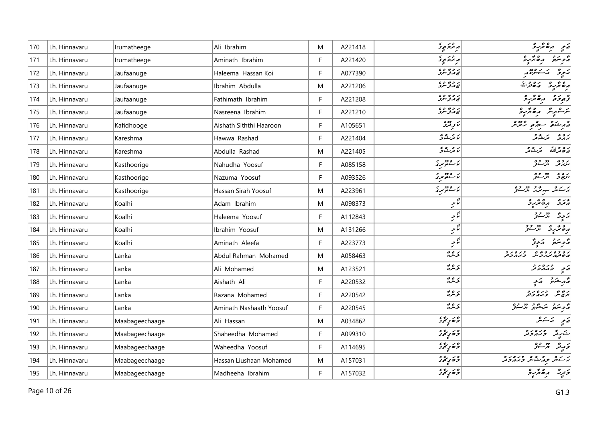| 170 | Lh. Hinnavaru | Irumatheege    | Ali Ibrahim             | M  | A221418 | ېر تر دې<br>بر تر دې              | ەرھ ئ <sup>ۆ</sup> ر ۋ<br>$\frac{2}{\sqrt{2}}$            |
|-----|---------------|----------------|-------------------------|----|---------|-----------------------------------|-----------------------------------------------------------|
| 171 | Lh. Hinnavaru | Irumatheege    | Aminath Ibrahim         | F. | A221420 | د بر در پ<br>بر بر د په د         | وە ئرىر ۋ<br>أترسم                                        |
| 172 | Lh. Hinnavaru | Jaufaanuge     | Haleema Hassan Koi      | F. | A077390 | پر وي و ۽<br>  پي پر تو سرپ       | بزود<br>بر سەھ <sub>ىيى</sub> ر                           |
| 173 | Lh. Hinnavaru | Jaufaanuge     | Ibrahim Abdulla         | M  | A221206 | ر و د و ،<br>بع د تو سری          | ە ھەترىر <sup>ە</sup><br>مَە قىراللە                      |
| 174 | Lh. Hinnavaru | Jaufaanuge     | Fathimath Ibrahim       | F  | A221208 | پر ويږ وي<br>  فع تر تو سر پر     | ەھ ترىر ۋ<br>و په پر د                                    |
| 175 | Lh. Hinnavaru | Jaufaanuge     | Nasreena Ibrahim        | F  | A221210 | پر ويږ وي<br>  فع تر تو سر پر     | ىئە <sup>ر ھ</sup> ەبىرىتر<br>0 30                        |
| 176 | Lh. Hinnavaru | Kafidhooge     | Aishath Siththi Haaroon | F  | A105651 | رود ه<br>  ما موقتری              |                                                           |
| 177 | Lh. Hinnavaru | Kareshma       | Hawwa Rashad            | F  | A221404 | ىر ، ھەھ<br>مەمۇرىشە <del>ر</del> | برەپچ<br>ىر شەتر                                          |
| 178 | Lh. Hinnavaru | Kareshma       | Abdulla Rashad          | M  | A221405 | ىر بىر ھەم<br>بىر ئىشىرى          | برە تراللە<br>ىر مەتەتر                                   |
| 179 | Lh. Hinnavaru | Kasthoorige    | Nahudha Yoosuf          | F  | A085158 | ر دود و ،<br>ما ڪھي مرد           | ېز يەر<br>سرویژ                                           |
| 180 | Lh. Hinnavaru | Kasthoorige    | Nazuma Yoosuf           | F. | A093526 | ر ۶۶۵ و.<br>ما سنگهجری            | سرچ ويځ<br>ېژىستۇ                                         |
| 181 | Lh. Hinnavaru | Kasthoorige    | Hassan Sirah Yoosuf     | M  | A223961 | ر ۶۶۵ وجو<br>موسيقومبرد           | بر کے مگر اسو پڑھ اور دو ہے<br>مرکب مگر اسو پڑھیں اور سور |
| 182 | Lh. Hinnavaru | Koalhi         | Adam Ibrahim            | M  | A098373 | لقعر                              | وره دهگرد                                                 |
| 183 | Lh. Hinnavaru | Koalhi         | Haleema Yoosuf          | F  | A112843 | $\overline{\mathcal{E}}$          | ر په در دره در در                                         |
| 184 | Lh. Hinnavaru | Koalhi         | Ibrahim Yoosuf          | M  | A131266 | $\overline{\mathcal{E}}$          | ړه تر پر د وو                                             |
| 185 | Lh. Hinnavaru | Koalhi         | Aminath Aleefa          | F. | A223773 | اچمو                              | أأدمنهم أرجوقه                                            |
| 186 | Lh. Hinnavaru | Lanka          | Abdul Rahman Mohamed    | M  | A058463 | ر ه د.<br>مؤسر پا                 | נסכסנסג'ס כנסנכ<br>השנה <i>גיבית כי</i> הכנ               |
| 187 | Lh. Hinnavaru | Lanka          | Ali Mohamed             | M  | A123521 | ئەشرىگە                           | أمامي وبرورد                                              |
| 188 | Lh. Hinnavaru | Lanka          | Aishath Ali             | F  | A220532 | ئەشرىگە                           | وأرشكم وكمج                                               |
| 189 | Lh. Hinnavaru | Lanka          | Razana Mohamed          | F  | A220542 | ر ه پ                             | رويز درورد                                                |
| 190 | Lh. Hinnavaru | Lanka          | Aminath Nashaath Yoosuf | F  | A220545 | ئەشرىگە                           | ړ څر سرچينې په ده ده وه کل                                |
| 191 | Lh. Hinnavaru | Maabageechaage | Ali Hassan              | M  | A034862 | پر په په په<br>د ځانگړۍ           | أەي ئەسەھ                                                 |
| 192 | Lh. Hinnavaru | Maabageechaage | Shaheedha Mohamed       | F  | A099310 | د ده د پره<br>د ه د پر            | لمكريم وزەرە<br>مەر                                       |
| 193 | Lh. Hinnavaru | Maabageechaage | Waheedha Yoosuf         | F  | A114695 | ه ر<br>د ځونون                    | ى بەشتەر قارىق                                            |
| 194 | Lh. Hinnavaru | Maabageechaage | Hassan Liushaan Mohamed | M  | A157031 | د نه نړۍ<br>  د ځانگونو           | يُرَكَبُوا وَإِرْكَبُوا وَيَرَادُونَ                      |
| 195 | Lh. Hinnavaru | Maabageechaage | Madheeha Ibrahim        | F  | A157032 | دڅه نومونه                        | دَىرِيَّ مەھرىرد                                          |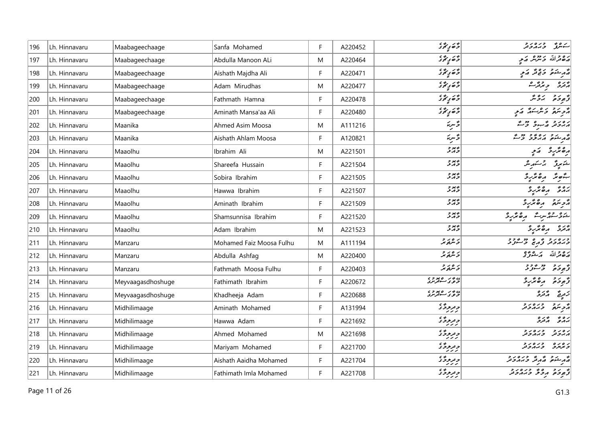| 196 | Lh. Hinnavaru | Maabageechaage    | Sanfa Mohamed            | F  | A220452 | و پر پوءِ<br>حوي گوي              | شهرة متصروح                                             |
|-----|---------------|-------------------|--------------------------|----|---------|-----------------------------------|---------------------------------------------------------|
| 197 | Lh. Hinnavaru | Maabageechaage    | Abdulla Manoon ALi       | M  | A220464 | دڅه نومونه                        | برە دالله ترمزمر پرو                                    |
| 198 | Lh. Hinnavaru | Maabageechaage    | Aishath Majdha Ali       | F. | A220471 | د ځه نو د                         | أوالم المستوفر وتحافر أوالمحر                           |
| 199 | Lh. Hinnavaru | Maabageechaage    | Adam Mirudhas            | M  | A220477 | و ده د و د                        | وره و وړه ه                                             |
| 200 | Lh. Hinnavaru | Maabageechaage    | Fathmath Hamna           | F  | A220478 | ور<br>د ځونون                     | توجدة بروتر                                             |
| 201 | Lh. Hinnavaru | Maabageechaage    | Aminath Mansa'aa Ali     | F  | A220480 | و په نومون<br>د ځانونو            | أأديره والمراكب أأولج                                   |
| 202 | Lh. Hinnavaru | Maanika           | Ahmed Asim Moosa         | M  | A111216 | وحسبه                             |                                                         |
| 203 | Lh. Hinnavaru | Maanika           | Aishath Ahlam Moosa      | F  | A120821 | وحسبة                             |                                                         |
| 204 | Lh. Hinnavaru | Maaolhu           | Ibrahim Ali              | M  | A221501 | ی بر و<br>و در د                  | رە ئۆر ئەير                                             |
| 205 | Lh. Hinnavaru | Maaolhu           | Shareefa Hussain         | F  | A221504 | پر بر و<br>و <i>۸</i> در          | شەمرۇ - ئەسىرىكە                                        |
| 206 | Lh. Hinnavaru | Maaolhu           | Sobira Ibrahim           | F  | A221505 | پر بر و<br>و پر نر                |                                                         |
| 207 | Lh. Hinnavaru | Maaolhu           | Hawwa Ibrahim            | F  | A221507 | پر بر د<br>تر <i>هر</i> تر        |                                                         |
| 208 | Lh. Hinnavaru | Maaolhu           | Aminath Ibrahim          | F  | A221509 | پر پر و<br>و آر ک                 | ومحر المتوسية والمتحر والمحر                            |
| 209 | Lh. Hinnavaru | Maaolhu           | Shamsunnisa Ibrahim      | F  | A221520 | پر بر و<br>تر <i>هر</i> تر        | $\frac{1}{2}$                                           |
| 210 | Lh. Hinnavaru | Maaolhu           | Adam Ibrahim             | M  | A221523 | پر بر و<br>و پر نر                | أرمزد ماه محرر و                                        |
| 211 | Lh. Hinnavaru | Manzaru           | Mohamed Faiz Moosa Fulhu | M  | A111194 | ىر ھەير ج                         | כנסנב צ'ונים ובפיבי                                     |
| 212 | Lh. Hinnavaru | Manzaru           | Abdulla Ashfaq           | M  | A220400 | ىر ھەير ج                         | برە قراللە برخوترى                                      |
| 213 | Lh. Hinnavaru | Manzaru           | Fathmath Moosa Fulhu     | F  | A220403 | ىر ھەير ج                         | و ده ده دره ده                                          |
| 214 | Lh. Hinnavaru | Meyvaagasdhoshuge | Fathimath Ibrahim        | F  | A220672 | در بر ره مو و د<br>حرح ی سسوتر دی |                                                         |
| 215 | Lh. Hinnavaru | Meyvaagasdhoshuge | Khadheeja Adam           | F  | A220688 | دے بر رہے و ے<br>حرحری سستمبرس    | تر پر په پره<br>مرکز په مرکز                            |
| 216 | Lh. Hinnavaru | Midhilimaage      | Aminath Mohamed          | F  | A131994 | اوبروژه<br>روپوژه                 | و مرد دره در د                                          |
| 217 | Lh. Hinnavaru | Midhilimaage      | Hawwa Adam               | F  | A221692 | اوږووځ<br>روژو                    | برە بح<br>پور ہ<br>مرکزو                                |
| 218 | Lh. Hinnavaru | Midhilimaage      | Ahmed Mohamed            | M  | A221698 | او درودي<br><u>درو</u> دي         | و رە ر د<br>تر پروتر<br>ر ەر د                          |
| 219 | Lh. Hinnavaru | Midhilimaage      | Mariyam Mohamed          | F  | A221700 | اوږروژه<br><u>پ</u>               | و ره ر د<br>تر پر ژمر<br>ر ه ر ه<br><del>ر</del> بربرگر |
| 220 | Lh. Hinnavaru | Midhilimaage      | Aishath Aaidha Mohamed   | F. | A221704 | د مرمرد د ؟<br>  ر ر ر            | ومشعو ومرقر وبرماد                                      |
| 221 | Lh. Hinnavaru | Midhilimaage      | Fathimath Imla Mohamed   | F. | A221708 | وىروۇ ئى<br>  <u>رىر</u>          | و دو موځو دره دو                                        |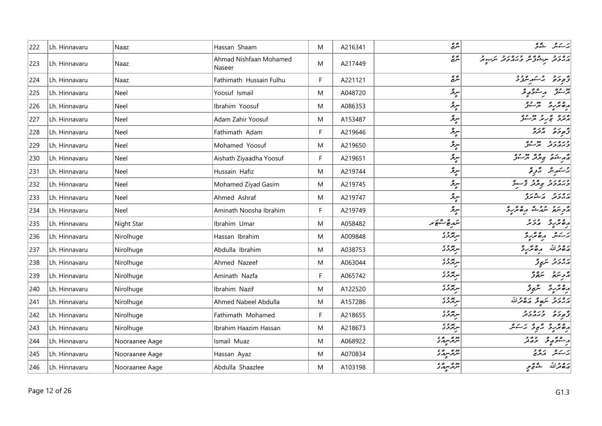| 222 | Lh. Hinnavaru | Naaz           | Hassan Shaam                     | M  | A216341 | سرچ                      | يرَ سَمَرٌ مُشَرَّحَ                           |
|-----|---------------|----------------|----------------------------------|----|---------|--------------------------|------------------------------------------------|
| 223 | Lh. Hinnavaru | Naaz           | Ahmad Nishfaan Mohamed<br>Naseer | M  | A217449 | سرچ                      | . ס ג כ הם הם הנסגב ה.<br>המכת תובלת כמהכת תאת |
| 224 | Lh. Hinnavaru | Naaz           | Fathimath Hussain Fulhu          | F  | A221121 | سرچ                      | توجوحو برسكم مرووح                             |
| 225 | Lh. Hinnavaru | Neel           | Yoosuf Ismail                    | M  | A048720 | سرچر                     | دو وه ده ده ده د                               |
| 226 | Lh. Hinnavaru | Neel           | Ibrahim Yoosuf                   | M  | A086353 | سرچر                     |                                                |
| 227 | Lh. Hinnavaru | Neel           | Adam Zahir Yoosuf                | M  | A153487 | سرچر                     | و ده و ده وه وه<br>مرکز کاربر ارسو             |
| 228 | Lh. Hinnavaru | Neel           | Fathimath Adam                   | F  | A219646 | سرچر                     | و محمود محمده                                  |
| 229 | Lh. Hinnavaru | Neel           | Mohamed Yoosuf                   | M  | A219650 | سرچر                     | כנסני - כי כם<br>כגונכט, וני-ית                |
| 230 | Lh. Hinnavaru | Neel           | Aishath Ziyaadha Yoosuf          | F. | A219651 | سرچر                     | ה<br>התלום בית האבל, חדש                       |
| 231 | Lh. Hinnavaru | Neel           | Hussain Hafiz                    | M  | A219744 | سرچر                     | جرستهریش برتوری                                |
| 232 | Lh. Hinnavaru | Neel           | Mohamed Ziyad Gasim              | M  | A219745 | سرچر                     |                                                |
| 233 | Lh. Hinnavaru | Neel           | Ahmed Ashraf                     | M  | A219747 | سرچر                     | ره رو بر ۱۵ ره<br>د بروتر بر شوبرو             |
| 234 | Lh. Hinnavaru | Neel           | Aminath Noosha Ibrahim           | F. | A219749 | سرچر                     | أدوسي سمائة المعتبرة                           |
| 235 | Lh. Hinnavaru | Night Star     | Ibrahim Umar                     | M  | A058482 | سكر هح كسبح مر           |                                                |
| 236 | Lh. Hinnavaru | Nirolhuge      | Hassan Ibrahim                   | M  | A009848 | امد پودې<br>په مددي      |                                                |
| 237 | Lh. Hinnavaru | Nirolhuge      | Abdulla Ibrahim                  | M  | A038753 | سرپر و ۽<br>سرپر پر ي    | رَحْدَاللَّهُ مِعْشَرِدْ                       |
| 238 | Lh. Hinnavaru | Nirolhuge      | Ahmed Nazeef                     | M  | A063044 | سرپروی                   | پروژ تریپوژ                                    |
| 239 | Lh. Hinnavaru | Nirolhuge      | Aminath Nazfa                    | F  | A065742 | سرپروی<br>سرپرنوی        | ړٌ پر پره د پر                                 |
| 240 | Lh. Hinnavaru | Nirolhuge      | Ibrahim Nazif                    | M  | A122520 | بر د د ه<br>سرپرو د      | أرە ئۇر ئەسىر ئ                                |
| 241 | Lh. Hinnavaru | Nirolhuge      | Ahmed Nabeel Abdulla             | M  | A157286 | سرپروی                   | مصرح سكه وكالمله                               |
| 242 | Lh. Hinnavaru | Nirolhuge      | Fathimath Mohamed                | F  | A218655 | بر بر د ،<br>سربر د د    | و ده وره ده                                    |
| 243 | Lh. Hinnavaru | Nirolhuge      | Ibrahim Haazim Hassan            | M  | A218673 | سرپروی                   | رەمزېرە برىرە برىكىر                           |
| 244 | Lh. Hinnavaru | Nooraanee Aage | Ismail Muaz                      | M  | A068922 | چېچىسىدىكى<br>سرچىسىدىكى | بر شرقه و دورو د                               |
| 245 | Lh. Hinnavaru | Nooraanee Aage | Hassan Ayaz                      | M  | A070834 | دو پر پرې<br>سربگر پېړۍ  | پرستمبر پروژخ                                  |
| 246 | Lh. Hinnavaru | Nooraanee Aage | Abdulla Shaazlee                 | M  | A103198 | دو پر پره<br>سرپر سره د  | رەقراللە شەھىر                                 |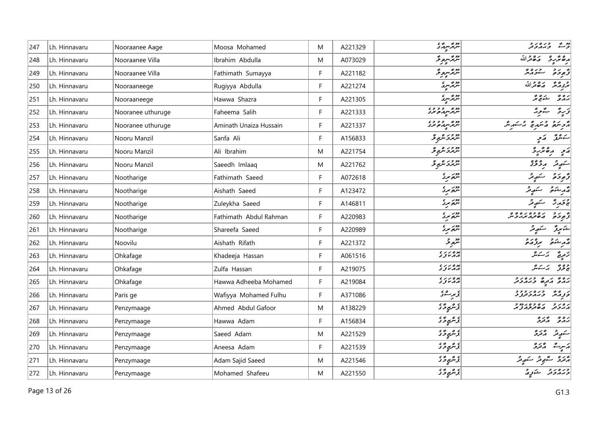| 247 | Lh. Hinnavaru | Nooraanee Aage    | Moosa Mohamed          | M           | A221329 | دو په په په<br>سرپر سر                     | ووقع وره دو                                          |
|-----|---------------|-------------------|------------------------|-------------|---------|--------------------------------------------|------------------------------------------------------|
| 248 | Lh. Hinnavaru | Nooraanee Villa   | Ibrahim Abdulla        | M           | A073029 | يژبر سره م <sup>ح</sup> ر                  | ە ھەترىرى<br>برھەترىرى<br>ەھىراللە                   |
| 249 | Lh. Hinnavaru | Nooraanee Villa   | Fathimath Sumayya      | F           | A221182 | يزېژ <sub>مبرو</sub> ئ <sup>و</sup>        | ا تۇ بور بو<br>سترجده                                |
| 250 | Lh. Hinnavaru | Nooraaneege       | Rugiyya Abdulla        | F           | A221274 | دو پر<br>مربر سرچ                          | جە جە ئەر<br>مَەھىراللە                              |
| 251 | Lh. Hinnavaru | Nooraaneege       | Hawwa Shazra           | F.          | A221305 | دو پر<br>مربر سرپر                         | $7.84$ $2.7$                                         |
| 252 | Lh. Hinnavaru | Nooranee uthuruge | Faheema Salih          | F           | A221333 | دد و به در د د ه<br>سربر سرد و بر د        | ۇرۇ سۇرۇ                                             |
| 253 | Lh. Hinnavaru | Nooranee uthuruge | Aminath Unaiza Hussain | F           | A221337 | מ מי קיבים<br>ממי מת מי מי ג               | أزوينه أأتمر والمستريثر                              |
| 254 | Lh. Hinnavaru | Nooru Manzil      | Sanfa Ali              | F           | A156833 | ير برېږي و                                 | سەھەتە بەيئە                                         |
| 255 | Lh. Hinnavaru | Nooru Manzil      | Ali Ibrahim            | M           | A221754 | دد در ه پرې<br>سربر د سر <sub>ب</sub> ې تر | ړې ره ټرو                                            |
| 256 | Lh. Hinnavaru | Nooru Manzil      | Saeedh Imlaaq          | M           | A221762 | ەدىرى مەر ي                                | سكهيقر الرحرمحة                                      |
| 257 | Lh. Hinnavaru | Nootharige        | Fathimath Saeed        | F           | A072618 | ددر<br>سره مرد                             | و مر د<br>ترجو څخه<br>سەمەقر                         |
| 258 | Lh. Hinnavaru | Nootharige        | Aishath Saeed          | $\mathsf F$ | A123472 | ددر<br>سره مرد                             | و مرشو<br>م<br>سەمەقىر                               |
| 259 | Lh. Hinnavaru | Nootharige        | Zuleykha Saeed         | F           | A146811 | دد ر بر<br>سره مرد                         | ح ځرم <sup>رمي</sup><br>ستهيقر                       |
| 260 | Lh. Hinnavaru | Nootharige        | Fathimath Abdul Rahman | $\mathsf F$ | A220983 | ددر<br>سره سرد                             | ه د د ده ده ده ده ده<br>ژبودنو ماه ترم تر تر تر      |
| 261 | Lh. Hinnavaru | Nootharige        | Shareefa Saeed         | $\mathsf F$ | A220989 | دد بر بر<br>سرچ مور                        | أختاموقر استاريكر                                    |
| 262 | Lh. Hinnavaru | Noovilu           | Aishath Rifath         | F           | A221372 | يترويخه                                    | پ <sup>و</sup> پر شنوې<br>پر<br>سرو هر د<br>سرو هر ه |
| 263 | Lh. Hinnavaru | Ohkafage          | Khadeeja Hassan        | F           | A061516 | بره ر ر ،<br><i>د د م</i> انۍ              | ترىرقى كاسكانل                                       |
| 264 | Lh. Hinnavaru | Ohkafage          | Zulfa Hassan           | F           | A219075 | بره ر ر ،<br>د در تا تو ت                  | جوو برسكر                                            |
| 265 | Lh. Hinnavaru | Ohkafage          | Hawwa Adheeba Mohamed  | F.          | A219084 | بره ر ر بر<br><i>د د</i> مرنو ی            | גם בצים בגם בב                                       |
| 266 | Lh. Hinnavaru | Paris ge          | Wafiyya Mohamed Fulhu  | F           | A371086 | ء مرے ء                                    | ر وه ورورودو<br>تورگر ورگرونونو                      |
| 267 | Lh. Hinnavaru | Penzymaage        | Ahmed Abdul Gafoor     | M           | A138229 | ې ه <sub>ې</sub> په <sup>پ</sup> ه         |                                                      |
| 268 | Lh. Hinnavaru | Penzymaage        | Hawwa Adam             | F           | A156834 | ې همې د <sup>ي</sup>                       | برە پە<br>پور ہ<br>مرمرو                             |
| 269 | Lh. Hinnavaru | Penzymaage        | Saeed Adam             | M           | A221529 | ې ه <sub>ې</sub> په <sup>پ</sup> ه         | ەرگەر<br>سەھەتىر                                     |
| 270 | Lh. Hinnavaru | Penzymaage        | Aneesa Adam            | F.          | A221539 | ې ش <sub>کې</sub> د ځ                      | كەسرىشە مەتىرد                                       |
| 271 | Lh. Hinnavaru | Penzymaage        | Adam Sajid Saeed       | M           | A221546 | ې ش <sub>کىچ</sub> ئەكتى                   | وحمدة السفير متمريد                                  |
| 272 | Lh. Hinnavaru | Penzymaage        | Mohamed Shafeeu        | M           | A221550 | ې ش <sub>کىچ</sub> ئەكتى                   | ورەر دېم ئىكتار 2                                    |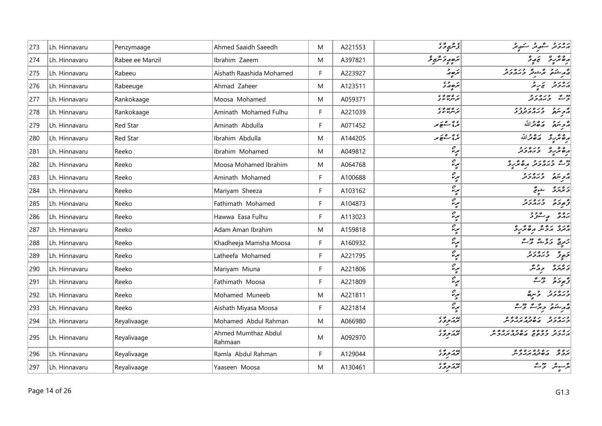| 273 | Lh. Hinnavaru | Penzymaage      | Ahmed Saaidh Saeedh            | M  | A221553 | ئۇنىژىپو ئەتم                  | ړه د د که په کره کر                                                                                            |
|-----|---------------|-----------------|--------------------------------|----|---------|--------------------------------|----------------------------------------------------------------------------------------------------------------|
| 274 | Lh. Hinnavaru | Rabee ee Manzil | Ibrahim Zaeem                  | M  | A397821 | ى<br>مەھ بە ئەنگىبى قە         | رە ئرىر ئىم ئ                                                                                                  |
| 275 | Lh. Hinnavaru | Rabeeu          | Aishath Raashida Mohamed       | F. | A223927 | برەم                           |                                                                                                                |
| 276 | Lh. Hinnavaru | Rabeeuge        | Ahmad Zaheer                   | M  | A123511 | ترەم                           | أرەر بو پەر بو                                                                                                 |
| 277 | Lh. Hinnavaru | Rankokaage      | Moosa Mohamed                  | M  | A059371 | ر ٥ پر <i>٤ ٥</i><br>بر سربر ر | أوقت وره دو                                                                                                    |
| 278 | Lh. Hinnavaru | Rankokaage      | Aminath Mohamed Fulhu          | F. | A221039 | ر ٥ پر <i>٤</i><br>برس ۷ ړ     | ه در وره رووو<br>مرد شهر وبرم ترتون                                                                            |
| 279 | Lh. Hinnavaru | Red Star        | Aminath Abdulla                | F  | A071452 | ي ه ه ه ه پو                   | مُّحِ مَرَمَّعَ مَنْ صَّعْرَاللَّهُ                                                                            |
| 280 | Lh. Hinnavaru | Red Star        | Ibrahim Abdulla                | M  | A144205 | ی ه <u>ه ه</u> نم              | مەھەرىرى مەھىراللە                                                                                             |
| 281 | Lh. Hinnavaru | Reeko           | Ibrahim Mohamed                | M  | A049812 | $\frac{1}{2}$                  | وه عزيره ورود و                                                                                                |
| 282 | Lh. Hinnavaru | Reeko           | Moosa Mohamed Ibrahim          | M  | A064768 | بيرج                           | و می دره در مورد و در د                                                                                        |
| 283 | Lh. Hinnavaru | Reeko           | Aminath Mohamed                | F  | A100688 | بيرج                           |                                                                                                                |
| 284 | Lh. Hinnavaru | Reeko           | Mariyam Sheeza                 | F  | A103162 | بيرج                           | كرەرە ھەتج                                                                                                     |
| 285 | Lh. Hinnavaru | Reeko           | Fathimath Mohamed              | F  | A104873 | بيرج                           | و ره ر و<br><i>د ب</i> رگرفر<br>و مر د<br>افزاد مر                                                             |
| 286 | Lh. Hinnavaru | Reeko           | Hawwa Easa Fulhu               | F  | A113023 | بيرج                           | ره و مستور<br>بروژ میکن                                                                                        |
| 287 | Lh. Hinnavaru | Reeko           | Adam Aman Ibrahim              | M  | A159818 | بيرج                           |                                                                                                                |
| 288 | Lh. Hinnavaru | Reeko           | Khadheeja Mamsha Moosa         | F. | A160932 | بيرجم                          | أزْمِيعٌ وَوْشَرُ وْمَدْ                                                                                       |
| 289 | Lh. Hinnavaru | Reeko           | Latheefa Mohamed               | F. | A221795 | سيرته                          | كرجوق وره رد                                                                                                   |
| 290 | Lh. Hinnavaru | Reeko           | Mariyam Miuna                  | F. | A221806 | بيرج                           | ويرور ودير                                                                                                     |
| 291 | Lh. Hinnavaru | Reeko           | Fathimath Moosa                | F. | A221809 | بيرج                           | توجوجو وحث                                                                                                     |
| 292 | Lh. Hinnavaru | Reeko           | Mohamed Muneeb                 | M  | A221811 | بيرج                           | وره د د و                                                                                                      |
| 293 | Lh. Hinnavaru | Reeko           | Aishath Miyasa Moosa           | F  | A221814 | سيرتنا                         | ەر ئەرەبەر ئەرەپ ئەرەپ ئەنگەن ئەنگەن ئەنگەن ئەنگەن ئەنگەن ئەنگەن ئەنگەن ئەنگەن ئەنگەن ئەنگەن ئەنگەن ئەنگەن ئەن |
| 294 | Lh. Hinnavaru | Reyalivaage     | Mohamed Abdul Rahman           | M  | A066980 | <br>  پورموړی                  | כנסנכ נסכסנסגים<br>כגהכנה השנהההבית                                                                            |
| 295 | Lh. Hinnavaru | Reyalivaage     | Ahmed Mumthaz Abdul<br>Rahmaan | M  | A092970 | ی در برگان<br>موهر مورو د      | נסנד דס4ס נסדסנס4ס<br>1.מבת בכתז גםתומממ                                                                       |
| 296 | Lh. Hinnavaru | Reyalivaage     | Ramla Abdul Rahman             | F  | A129044 | پرېز پر په                     | ره ده ده ده ده ده<br>برونژ ماه ترم بربروس                                                                      |
| 297 | Lh. Hinnavaru | Reyalivaage     | Yaaseen Moosa                  | M  | A130461 | ں پر دی۔<br>تربر پروی          | ېژىپ تەر تە                                                                                                    |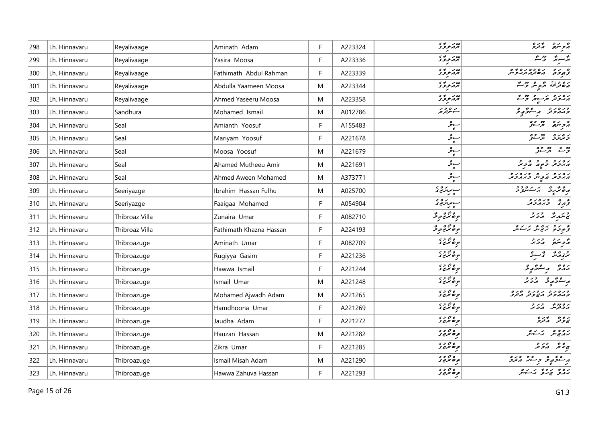| 298 | Lh. Hinnavaru | Reyalivaage    | Aminath Adam            | F  | A223324 | ەر<br>ئىمەمۇھ ي                   | پور ہ<br>مرکزو<br>أزحر سرة                                                                                                                                                                                                       |
|-----|---------------|----------------|-------------------------|----|---------|-----------------------------------|----------------------------------------------------------------------------------------------------------------------------------------------------------------------------------------------------------------------------------|
| 299 | Lh. Hinnavaru | Reyalivaage    | Yasira Moosa            | F. | A223336 | ہ در دی۔<br>محمد مورد             | ېژىسىدىگە<br>ديو مشر                                                                                                                                                                                                             |
| 300 | Lh. Hinnavaru | Reyalivaage    | Fathimath Abdul Rahman  | F. | A223339 | ى بەر بەر بەر يە<br>ئىس بەر بىر ق | و د د ده ده ده وه                                                                                                                                                                                                                |
| 301 | Lh. Hinnavaru | Reyalivaage    | Abdulla Yaameen Moosa   | M  | A223344 | پزړ تر و ځ                        | رە قەللە مۇچ ھە ج                                                                                                                                                                                                                |
| 302 | Lh. Hinnavaru | Reyalivaage    | Ahmed Yaseeru Moosa     | M  | A223358 | ی ر په په<br>مرد مرد د            | גם ג'ב ג' בישי בישי                                                                                                                                                                                                              |
| 303 | Lh. Hinnavaru | Sandhura       | Mohamed Ismail          | M  | A012786 | ر ه د ر<br>سومبرټر                | ورەرو بەسىۋېرو                                                                                                                                                                                                                   |
| 304 | Lh. Hinnavaru | Seal           | Amianth Yoosuf          | F  | A155483 | ببوعر                             | ړ ده ده ده وه                                                                                                                                                                                                                    |
| 305 | Lh. Hinnavaru | Seal           | Mariyam Yoosuf          | F  | A221678 | ببوثر                             | גם גם מגבר                                                                                                                                                                                                                       |
| 306 | Lh. Hinnavaru | Seal           | Moosa Yoosuf            | M  | A221679 | سوثر                              | پیشه پیشه پیشه پی                                                                                                                                                                                                                |
| 307 | Lh. Hinnavaru | Seal           | Ahamed Mutheeu Amir     | M  | A221691 | سوعر                              | ג ביני כתב הביני                                                                                                                                                                                                                 |
| 308 | Lh. Hinnavaru | Seal           | Ahmed Aween Mohamed     | M  | A373771 | سوعر                              | ג סגב גם כגם בכ                                                                                                                                                                                                                  |
| 309 | Lh. Hinnavaru | Seeriyazge     | Ibrahim Hassan Fulhu    | M  | A025700 | ا سوپرېږي د<br><u>شت</u>          | رە ئەرەپ ئەسەردى                                                                                                                                                                                                                 |
| 310 | Lh. Hinnavaru | Seeriyazge     | Faaigaa Mohamed         | F. | A054904 | ر ه ه ه<br>سوموری ی               | وٌ د د د د د د                                                                                                                                                                                                                   |
| 311 | Lh. Hinnavaru | Thibroaz Villa | Zunaira Umar            | F  | A082710 | ە 200 كۈ                          | ج سَمد پر " در د                                                                                                                                                                                                                 |
| 312 | Lh. Hinnavaru | Thibroaz Villa | Fathimath Khazna Hassan | F  | A224193 | ه ۵ <i>۵۰ و</i> مځ                | قەددە زەندىكە سەم                                                                                                                                                                                                                |
| 313 | Lh. Hinnavaru | Thibroazuge    | Aminath Umar            | F  | A082709 | 5500                              | أزوينهم الأونر                                                                                                                                                                                                                   |
| 314 | Lh. Hinnavaru | Thibroazuge    | Rugiyya Gasim           | F  | A221236 | ه ۵ ۵ و ٤<br>موه مربح ک           | ا تر پر مرکز سال میں باری کے لیے تر پر براہ کر دی تھا کہ ان کے لیے جاتا ہے جس کے لیے ان کے لیے ان کے لیے ان کے<br>مرکز کے لیے کہا کہ اس کے لیے کر کے لیے کرنے کے لیے کہ ان کے لیے کہا کہ ان کے لیے کہا کہ ان کے لیے کہا کہ ان کے |
| 315 | Lh. Hinnavaru | Thibroazuge    | Hawwa Ismail            | F  | A221244 | ه ۵ ۵ و ٤<br>موه مربح ک           | رەم مەشرەمۇ                                                                                                                                                                                                                      |
| 316 | Lh. Hinnavaru | Thibroazuge    | Ismail Umar             | M  | A221248 | وه بروء<br>موھ بري د              | بر عرقه و مرد                                                                                                                                                                                                                    |
| 317 | Lh. Hinnavaru | Thibroazuge    | Mohamed Ajwadh Adam     | M  | A221265 | ه ۵ ۵ و ٤<br>موه مربح ک           | כנסנכ נכנכ שנם<br>כגמכת משפת מתכ                                                                                                                                                                                                 |
| 318 | Lh. Hinnavaru | Thibroazuge    | Hamdhoona Umar          | F  | A221269 | ه ۵ و ۶<br>موه ترې د              | נ סיכובי - כי כי<br>ג'בניניה - הביינה                                                                                                                                                                                            |
| 319 | Lh. Hinnavaru | Thibroazuge    | Jaudha Adam             | F  | A221272 | 5500                              | ره پر پره<br>قع <i>و</i> تر کرتر                                                                                                                                                                                                 |
| 320 | Lh. Hinnavaru | Thibroazuge    | Hauzan Hassan           | M  | A221282 | ه ۵ ۵ و ٤<br>مون حري              | رومي پر ديگر                                                                                                                                                                                                                     |
| 321 | Lh. Hinnavaru | Thibroazuge    | Zikra Umar              | F  | A221285 | 5500                              | پر مه په درجه                                                                                                                                                                                                                    |
| 322 | Lh. Hinnavaru | Thibroazuge    | Ismail Misah Adam       | M  | A221290 |                                   | ر هو پو د پر و پرده                                                                                                                                                                                                              |
| 323 | Lh. Hinnavaru | Thibroazuge    | Hawwa Zahuva Hassan     | F. | A221293 | ه ۵ و ۵ و ۷<br>موه مربح ک         | رەپ روپ رىر                                                                                                                                                                                                                      |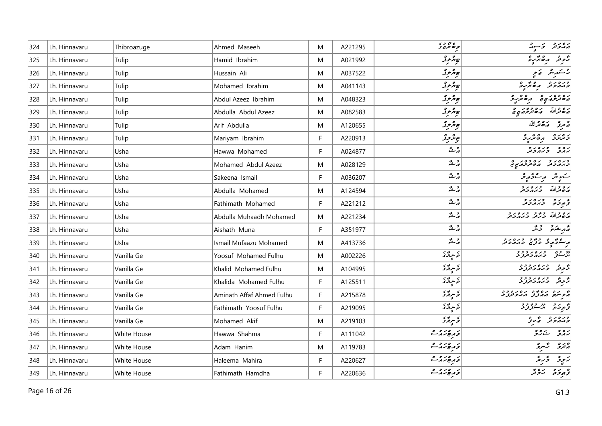| 324 | Lh. Hinnavaru | Thibroazuge        | Ahmed Maseeh              | M         | A221295 | ه ۲ و ۲<br>موځ تر تار                                                                                  | دەرو كەسەر                                     |
|-----|---------------|--------------------|---------------------------|-----------|---------|--------------------------------------------------------------------------------------------------------|------------------------------------------------|
| 325 | Lh. Hinnavaru | Tulip              | Hamid Ibrahim             | M         | A021992 | ھ <sup>و</sup> پر پو                                                                                   | وە ئەربە<br>بروتر                              |
| 326 | Lh. Hinnavaru | Tulip              | Hussain Ali               | M         | A037522 | ھ پر دی <sub>ر</sub><br>م                                                                              | يرسكريش الأبج                                  |
| 327 | Lh. Hinnavaru | Tulip              | Mohamed Ibrahim           | M         | A041143 | ھ پر موب <sup>و</sup>                                                                                  | و ر ه ر د<br>تر پر ژنر<br>ەھ ترىرە             |
| 328 | Lh. Hinnavaru | Tulip              | Abdul Azeez Ibrahim       | M         | A048323 | <br> حو شرعر بو                                                                                        | גפננגץ בי הסתקב                                |
| 329 | Lh. Hinnavaru | Tulip              | Abdulla Abdul Azeez       | M         | A082583 | ھ پر <sub>م</sub> ور                                                                                   | رە داللە ھەمر دەرىج                            |
| 330 | Lh. Hinnavaru | Tulip              | Arif Abdulla              | M         | A120655 | ھ <sup>و</sup> پر پر                                                                                   | قيسوقر الاقتدالله                              |
| 331 | Lh. Hinnavaru | Tulip              | Mariyam Ibrahim           | F         | A220913 | ھ پر دی <sub>گ</sub>                                                                                   | גם גם ביתים                                    |
| 332 | Lh. Hinnavaru | Usha               | Hawwa Mohamed             | F         | A024877 | رحمشه                                                                                                  | برە پە<br>و ره ر و<br>تر پر ژنر                |
| 333 | Lh. Hinnavaru | Usha               | Mohamed Abdul Azeez       | M         | A028129 | رژیئه                                                                                                  | כנסגב גםכסגם<br>כגוגבע גםעי <i>כ</i> ול        |
| 334 | Lh. Hinnavaru | Usha               | Sakeena Ismail            | F         | A036207 | رژیئه                                                                                                  | سىرىش مەستۇمەتتى                               |
| 335 | Lh. Hinnavaru | Usha               | Abdulla Mohamed           | M         | A124594 | رحمشه                                                                                                  | و رە ر د<br>تر پروتر<br>ەھىراللە               |
| 336 | Lh. Hinnavaru | Usha               | Fathimath Mohamed         | F         | A221212 | رحمشه                                                                                                  | قروح ورەرد                                     |
| 337 | Lh. Hinnavaru | Usha               | Abdulla Muhaadh Mohamed   | ${\sf M}$ | A221234 | رژیئه                                                                                                  | ره د الله به در در در د                        |
| 338 | Lh. Hinnavaru | Usha               | Aishath Muna              | F         | A351977 | رژیئه                                                                                                  | أمار مشكاة المحامل                             |
| 339 | Lh. Hinnavaru | Usha               | Ismail Mufaazu Mohamed    | M         | A413736 | رژیئه                                                                                                  | د علي و و و و د و د و د                        |
| 340 | Lh. Hinnavaru | Vanilla Ge         | Yoosuf Mohamed Fulhu      | M         | A002226 | ه سرچر <sub>ۍ</sub><br>حرس <sub>ج</sub> ر                                                              | מ כם כנסנפנים<br>ת—ק כנמכנקציג                 |
| 341 | Lh. Hinnavaru | Vanilla Ge         | Khalid Mohamed Fulhu      | M         | A104995 | ع سرچري<br> چ                                                                                          | د دره درود                                     |
| 342 | Lh. Hinnavaru | Vanilla Ge         | Khalida Mohamed Fulhu     | F         | A125511 | ې سرچۍ<br>د                                                                                            | ژوئر درورور                                    |
| 343 | Lh. Hinnavaru | Vanilla Ge         | Aminath Affaf Ahmed Fulhu | F         | A215878 | ءیسویچری<br>                                                                                           | ه در د ده به ده دود<br>مرح شهر مدونی مدد تروند |
| 344 | Lh. Hinnavaru | Vanilla Ge         | Fathimath Yoosuf Fulhu    | F         | A219095 | ې سرگ <sup>ې</sup> دي<br>م                                                                             | ژ <sub>موخ</sub> م پر ده د د                   |
| 345 | Lh. Hinnavaru | Vanilla Ge         | Mohamed Akif              | ${\sf M}$ | A219103 | ې<br>موسرچۍ                                                                                            | ورەر د كەن                                     |
| 346 | Lh. Hinnavaru | White House        | Hawwa Shahma              | F         | A111042 | وروحراث                                                                                                | شەرىج<br>ر ە بە<br>برادى                       |
| 347 | Lh. Hinnavaru | White House        | Adam Hanim                | ${\sf M}$ | A119783 | ورورده                                                                                                 | پر رہ<br>دگرو<br>ر سرد                         |
| 348 | Lh. Hinnavaru | <b>White House</b> | Haleema Mahira            | F         | A220627 | وروحرز                                                                                                 | پرٔ<br>دیگر                                    |
| 349 | Lh. Hinnavaru | White House        | Fathimath Hamdha          | F         | A220636 | $\overline{\mathcal{Z}_{\mathcal{A}}^{\mathcal{Z}}\mathcal{Z}_{\mathcal{A}}^{\mathcal{Z}}\mathcal{Z}}$ | وٌ و دَ دَ د د                                 |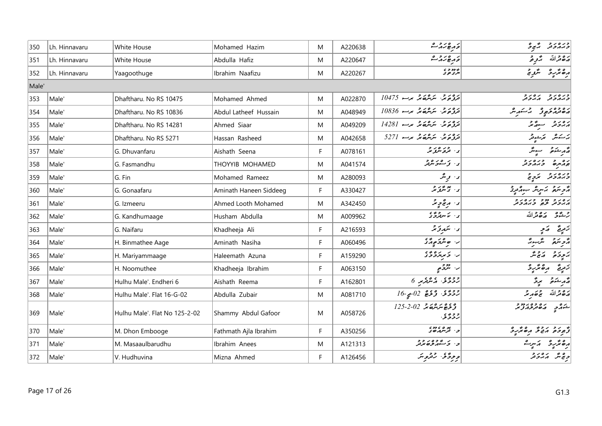| 350   | Lh. Hinnavaru | <b>White House</b>            | Mohamed Hazim          | M         | A220638 | وَرِءِ رَمْرُ ے                                             | وره رو و ه                                  |
|-------|---------------|-------------------------------|------------------------|-----------|---------|-------------------------------------------------------------|---------------------------------------------|
| 351   | Lh. Hinnavaru | <b>White House</b>            | Abdulla Hafiz          | ${\sf M}$ | A220647 | ۇرغ ئەرمى                                                   | پرکھ فقر اللّه<br>برٌوٍ فو                  |
| 352   | Lh. Hinnavaru | Yaagoothuge                   | Ibrahim Naafizu        | M         | A220267 | پر دو د ع<br>پر پی می بی                                    | سَّرْبِرِ ح<br>  پرځې تر د<br>  پرځمنځ      |
| Male' |               |                               |                        |           |         |                                                             |                                             |
| 353   | Male'         | Dhaftharu. No RS 10475        | Mohamed Ahmed          | M         | A022870 | ىرومۇ. بىر ھەتمە بىر 10475                                  | כנסנכ נסנכ<br>כגהכנג הגבנג                  |
| 354   | Male'         | Dhaftharu. No RS 10836        | Abdul Latheef Hussain  | M         | A048949 | ىروپر ئىر ئىر 10836                                         | رە دەر جوز برگىرىد                          |
| 355   | Male'         | Dhaftharu. No RS 14281        | Ahmed Siaar            | M         | A049209 | رەر ج. سەھەتمە برىسىد 14281                                 | دەرو سەرو                                   |
| 356   | Male'         | Dhaftharu. No RS 5271         | Hassan Rasheed         | M         | A042658 | رەرى ئەرەكتەر برىدا 5271                                    | يرسكانكل الترسفيانس                         |
| 357   | Male'         | G. Dhuvanfaru                 | Aishath Seena          | F         | A078161 | ى بە تەرەپەر<br>ئەسىمى تەرىپى                               | لأرشكش سومتر                                |
| 358   | Male'         | G. Fasmandhu                  | THOYYIB MOHAMED        | M         | A041574 | ى بە ئۇسىۋەتلەر                                             | و ره ر د<br><i>د ب</i> رگرفر<br>ים ב        |
| 359   | Male'         | G. Fin                        | Mohamed Rameez         | M         | A280093 | ی ویگر                                                      | ورەرو تروی                                  |
| 360   | Male'         | G. Gonaafaru                  | Aminath Haneen Siddeeg | F         | A330427 | ى سىچە ئەرىجە                                               | ۇ ئەسكە ئەسپىر سەھ بەقر                     |
| 361   | Male'         | G. Izmeeru                    | Ahmed Looth Mohamed    | M         | A342450 | ی پرچ چې تر                                                 | נסנד דדך דנסנד<br>הגבע בף, בגהבע            |
| 362   | Male'         | G. Kandhumaage                | Husham Abdulla         | M         | A009962 | ى ·   ئەسرچرى ،<br>ى ·   ئەسرچرى ،                          | حريح وكافرالله                              |
| 363   | Male'         | G. Naifaru                    | Khadheeja Ali          | F         | A216593 | ى سَمَدِوَنَدُ                                              | زَمِرِيَّ   رَمِّي                          |
| 364   | Male'         | H. Binmathee Aage             | Aminath Nasiha         | F         | A060496 | ر و هر د وړ                                                 | أرمز<br>ىئرىبىدىر                           |
| 365   | Male'         | H. Mariyammaage               | Haleemath Azuna        | F         | A159290 | ر که پرووی                                                  | يَجِرْدَهُ - دَيْمَرُ                       |
| 366   | Male'         | H. Noomuthee                  | Khadheeja Ibrahim      | F         | A063150 | ر. مرد م                                                    | كتبيعًا رەمزىرد                             |
| 367   | Male'         | Hulhu Male'. Endheri 6        | Aishath Reema          | F         | A162801 | وووي. <sub>م</sub> وروبر 6                                  | لقمر مشهقه<br>ىبرگ                          |
| 368   | Male'         | Hulhu Male'. Flat 16-G-02     | Abdulla Zubair         | M         | A081710 | $16$ - جون وي جون 20- ج $-16$                               | ح ئەرىر<br>ئ<br>ەھىراللە                    |
| 369   | Male'         | Hulhu Male'. Flat No 125-2-02 | Shammy Abdul Gafoor    | M         | A058726 | $125 - 2 - 02$ وقوع مربتر من سنة 200<br>و و و ي.<br>رنونوگو | ر ه د ه ر دد د<br>پره تر پر تر بر<br>الحشور |
| 370   | Male'         | M. Dhon Embooge               | Fathmath Ajla Ibrahim  | F         | A350256 | پر ہے وہ ہے<br>ویسمبر مصر                                   | وتموخهم مفتح مصريرة                         |
| 371   | Male'         | M. Masaaulbarudhu             | Ibrahim Anees          | M         | A121313 | د کر شهروه برود<br>د کر شهر <del>و</del> ته برد             | رەنزىر تەرب                                 |
| 372   | Male'         | V. Hudhuvina                  | Mizna Ahmed            | F         | A126456 | ودؤكى رقروبتر                                               | وج مگر م پرورو                              |
|       |               |                               |                        |           |         |                                                             |                                             |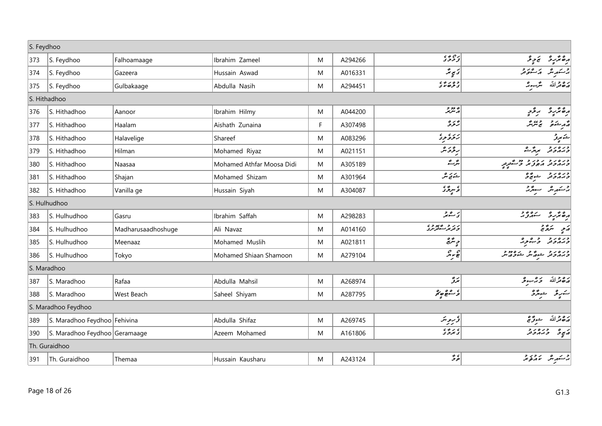| S. Feydhoo |                               |                    |                           |   |         |                                      |                                                                                                      |
|------------|-------------------------------|--------------------|---------------------------|---|---------|--------------------------------------|------------------------------------------------------------------------------------------------------|
| 373        | S. Feydhoo                    | Falhoamaage        | Ibrahim Zameel            | M | A294266 | ر 0 پر ت<br>تو نونژ ی                |                                                                                                      |
| 374        | S. Feydhoo                    | Gazeera            | Hussain Aswad             | M | A016331 | ئەسچە ئىگە                           | ر<br>رئاسگار میگردد در مسکوتر                                                                        |
| 375        | S. Feydhoo                    | Gulbakaage         | Abdulla Nasih             | M | A294451 | و ه ر پر پر<br>د <del>تر</del> ن مر  | برە ترالله<br>سترسدير                                                                                |
|            | S. Hithadhoo                  |                    |                           |   |         |                                      |                                                                                                      |
| 376        | S. Hithadhoo                  | Aanoor             | Ibrahim Hilmy             | M | A044200 | یر دو و<br>در سربر                   |                                                                                                      |
| 377        | S. Hithadhoo                  | Haalam             | Aishath Zunaina           | F | A307498 | پەر ە<br>رىخەن                       |                                                                                                      |
| 378        | S. Hithadhoo                  | Halavelige         | Shareef                   | M | A083296 | ر ري<br>ر توء م <sub>ر</sub> د       |                                                                                                      |
| 379        | S. Hithadhoo                  | Hilman             | Mohamed Riyaz             | M | A021151 | رۇدىر                                | ورەرو بەرگ                                                                                           |
| 380        | S. Hithadhoo                  | Naasaa             | Mohamed Athfar Moosa Didi | M | A305189 | مترسته                               | כנסני ניני מדור המתוק.<br>במהכת התנמי כי בתת                                                         |
| 381        | S. Hithadhoo                  | Shajan             | Mohamed Shizam            | M | A301964 | شەق ش                                | ورەرو شوڭ د                                                                                          |
| 382        | S. Hithadhoo                  | Vanilla ge         | Hussain Siyah             | M | A304087 | ې سرچ <sup>ي</sup>                   | بر کے مرکز استعمال                                                                                   |
|            | S. Hulhudhoo                  |                    |                           |   |         |                                      |                                                                                                      |
| 383        | S. Hulhudhoo                  | Gasru              | Ibrahim Saffah            | M | A298283 | ىر ھەجر                              | $\begin{array}{cc} 2.991 & 0.999 \\ -2.391 & 3.9999 \\ -2.899 & 2.999 \\ -2.899 & 2.999 \end{array}$ |
| 384        | S. Hulhudhoo                  | Madharusaadhoshuge | Ali Navaz                 | M | A014160 | ر ر به ری پر و ،<br>بر تر تر تر تر د |                                                                                                      |
| 385        | S. Hulhudhoo                  | Meenaaz            | Mohamed Muslih            | M | A021811 | جريثرمج                              |                                                                                                      |
| 386        | S. Hulhudhoo                  | Tokyo              | Mohamed Shiaan Shamoon    | M | A279104 | ہ مور<br>جا                          | وره رو شور سره دو و<br>وبربروتر شور سر شور پس                                                        |
|            | S. Maradhoo                   |                    |                           |   |         |                                      |                                                                                                      |
| 387        | S. Maradhoo                   | Rafaa              | Abdulla Mahsil            | M | A268974 | ىرتى                                 | أرەقمەللە كەسبوقر                                                                                    |
| 388        | S. Maradhoo                   | West Beach         | Saheel Shiyam             | M | A287795 | وكسوه وكالحج                         | سەر ئۇ ھەمدۇر                                                                                        |
|            | S. Maradhoo Feydhoo           |                    |                           |   |         |                                      |                                                                                                      |
| 389        | S. Maradhoo Feydhoo Fehivina  |                    | Abdulla Shifaz            | M | A269745 | ۇروپىر                               |                                                                                                      |
| 390        | S. Maradhoo Feydhoo Geramaage |                    | Azeem Mohamed             | M | A161806 | ې ر په ې<br>ک بنونژ ک                |                                                                                                      |
|            | Th. Guraidhoo                 |                    |                           |   |         |                                      |                                                                                                      |
| 391        | Th. Guraidhoo                 | Themaa             | Hussain Kausharu          | M | A243124 | ج ج<br>حوتر                          | بر سکور مش استراد کرد.                                                                               |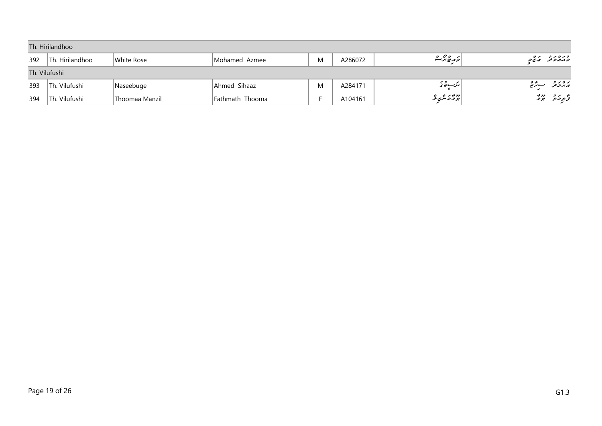|               | Th. Hirilandhoo |                |                 |   |         |              |             |                      |
|---------------|-----------------|----------------|-----------------|---|---------|--------------|-------------|----------------------|
| 392           | Th. Hirilandhoo | White Rose     | Mohamed Azmee   | M | A286072 | ئەرھ بر م    |             | حرب ده ده            |
|               | Th. Vilufushi   |                |                 |   |         |              |             |                      |
| $ 393\rangle$ | Th. Vilufushi   | Naseebuge      | Ahmed Sihaaz    | M | A284171 | ىر سەھ ي     | سەرمىج      | پر 9 پر <del>و</del> |
| 394           | Th. Vilufushi   | Thoomaa Manzil | Fathmath Thooma |   | A104161 | « و د عربه و | ودي<br>جو گ | ا تو پر چه           |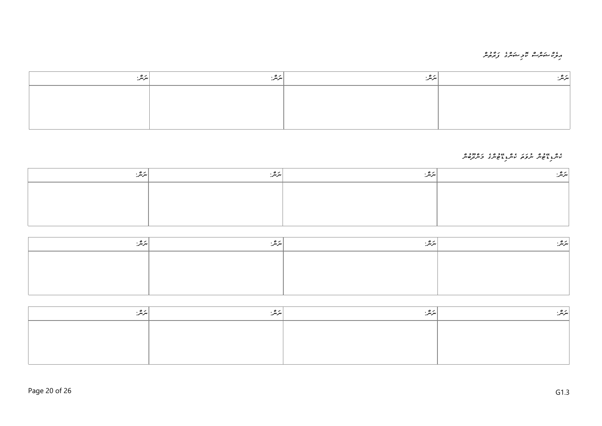## *w7qAn8m? sCw7mRo>u; wEw7mRw;sBo<*

| ' مرمر | 'يئرىثر: |
|--------|----------|
|        |          |
|        |          |
|        |          |

## *w7q9r@w7m> sCw7qHtFoFw7s; mAm=q7 w7qHtFoFw7s;*

| يئرمىش: | $^{\circ}$<br>. سر سر<br>$\cdot$ | $\circ$ $\sim$<br>-- | يئرمثر |
|---------|----------------------------------|----------------------|--------|
|         |                                  |                      |        |
|         |                                  |                      |        |
|         |                                  |                      |        |

| $\frac{2}{n}$ | $^{\circ}$ | $\frac{2}{n}$ | $^{\circ}$<br>سرسر. |
|---------------|------------|---------------|---------------------|
|               |            |               |                     |
|               |            |               |                     |
|               |            |               |                     |

| ىرتىر: | 。<br>سر سر | .,<br>مرسر |
|--------|------------|------------|
|        |            |            |
|        |            |            |
|        |            |            |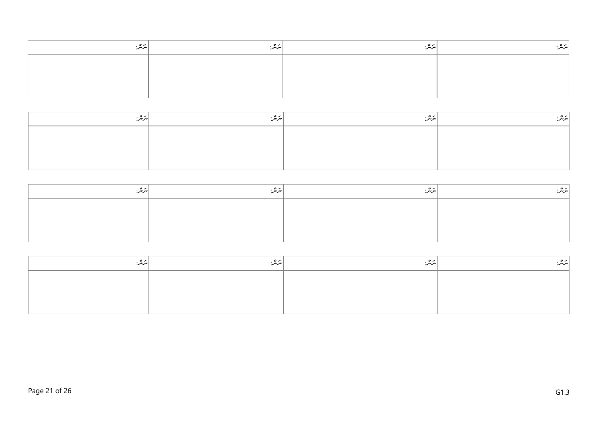| يره. | ο. | ا ير ه |  |
|------|----|--------|--|
|      |    |        |  |
|      |    |        |  |
|      |    |        |  |

| <sup>.</sup> سرسر. |  |
|--------------------|--|
|                    |  |
|                    |  |
|                    |  |

| ىئرىتر. | $\sim$ | ا بر هه. | لىرىش |
|---------|--------|----------|-------|
|         |        |          |       |
|         |        |          |       |
|         |        |          |       |

| 。<br>مرس. | $\overline{\phantom{a}}$<br>مر سر | ىرىر |
|-----------|-----------------------------------|------|
|           |                                   |      |
|           |                                   |      |
|           |                                   |      |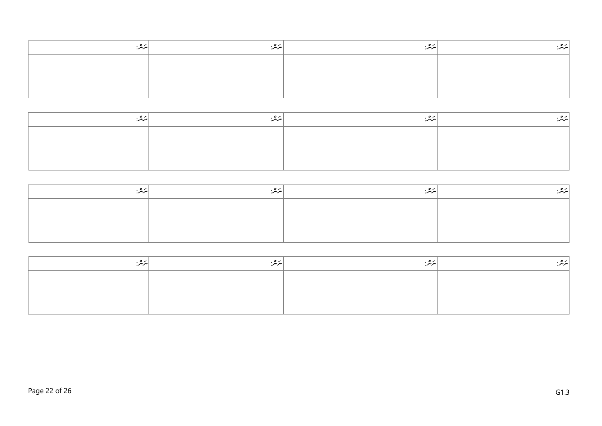| ير هو . | $\overline{\phantom{a}}$ | يرمر | اير هنه. |
|---------|--------------------------|------|----------|
|         |                          |      |          |
|         |                          |      |          |
|         |                          |      |          |

| ىر تىر: | $\circ$ $\sim$<br>" سرسر . | يبرحه | o . |
|---------|----------------------------|-------|-----|
|         |                            |       |     |
|         |                            |       |     |
|         |                            |       |     |

| 'تترنثر: | 。<br>,,,, |  |
|----------|-----------|--|
|          |           |  |
|          |           |  |
|          |           |  |

|  | . ه |
|--|-----|
|  |     |
|  |     |
|  |     |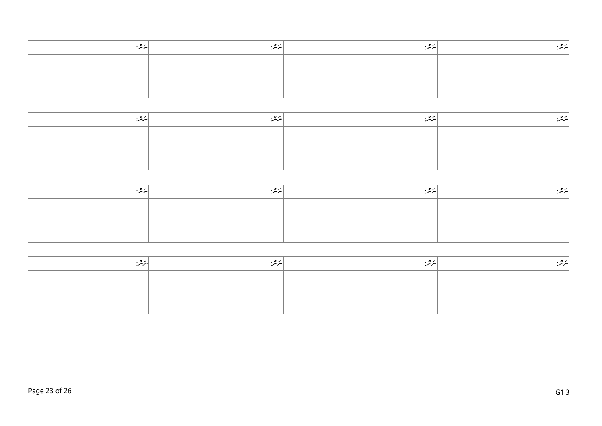| ير هو . | $\overline{\phantom{a}}$ | يرمر | اير هنه. |
|---------|--------------------------|------|----------|
|         |                          |      |          |
|         |                          |      |          |
|         |                          |      |          |

| ىر تىر: | $\circ$ $\sim$<br>" سرسر . | يبرحه | o . |
|---------|----------------------------|-------|-----|
|         |                            |       |     |
|         |                            |       |     |
|         |                            |       |     |

| 'تترنثر: | ر ه |  |
|----------|-----|--|
|          |     |  |
|          |     |  |
|          |     |  |

|  | . ه |
|--|-----|
|  |     |
|  |     |
|  |     |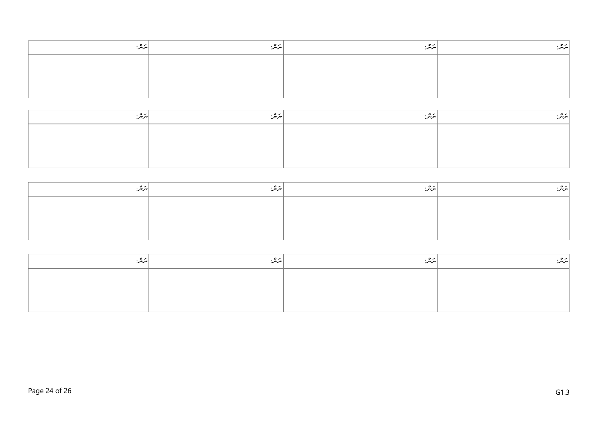| $\cdot$ | 。 | $\frac{\circ}{\cdot}$ | $\sim$<br>سرسر |
|---------|---|-----------------------|----------------|
|         |   |                       |                |
|         |   |                       |                |
|         |   |                       |                |

| يريثن | ' سرسر . |  |
|-------|----------|--|
|       |          |  |
|       |          |  |
|       |          |  |

| بر ه | . ه | $\sim$<br>سرسر |  |
|------|-----|----------------|--|
|      |     |                |  |
|      |     |                |  |
|      |     |                |  |

| 。<br>. س | ىرىىر |  |
|----------|-------|--|
|          |       |  |
|          |       |  |
|          |       |  |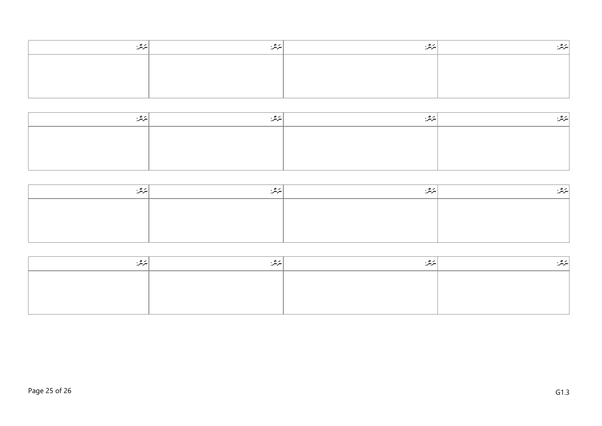| ير هو . | $\overline{\phantom{a}}$ | يرمر | اير هنه. |
|---------|--------------------------|------|----------|
|         |                          |      |          |
|         |                          |      |          |
|         |                          |      |          |

| ىر تىر: | $\circ$ $\sim$<br>" سرسر . | يبرحه | o . |
|---------|----------------------------|-------|-----|
|         |                            |       |     |
|         |                            |       |     |
|         |                            |       |     |

| 'تترنثر: | 。<br>,,,, |  |
|----------|-----------|--|
|          |           |  |
|          |           |  |
|          |           |  |

|  | . ه |
|--|-----|
|  |     |
|  |     |
|  |     |